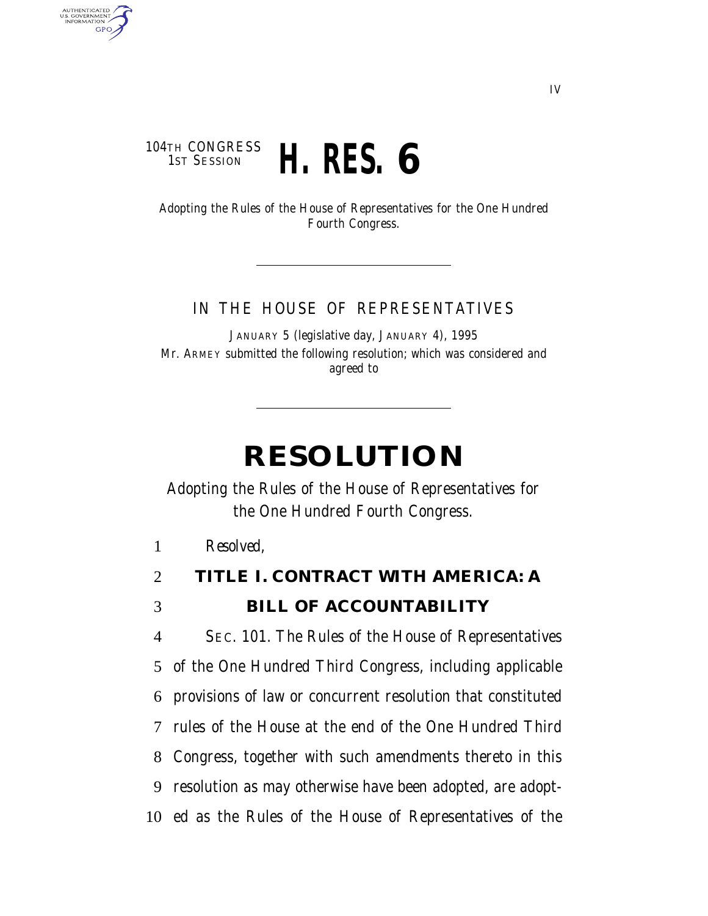### 104TH CONGRESS<br>1st Session 1ST SESSION **H. RES. 6**

AUTHENTICATED<br>U.S. GOVERNMENT<br>INFORMATION **GPO** 

> Adopting the Rules of the House of Representatives for the One Hundred Fourth Congress.

#### IN THE HOUSE OF REPRESENTATIVES

JANUARY 5 (legislative day, JANUARY 4), 1995 Mr. ARMEY submitted the following resolution; which was considered and agreed to

# **RESOLUTION**

Adopting the Rules of the House of Representatives for the One Hundred Fourth Congress.

1 *Resolved,*

# 2 **TITLE I. CONTRACT WITH AMERICA: A** 3 **BILL OF ACCOUNTABILITY**

 SEC. 101. The Rules of the House of Representatives of the One Hundred Third Congress, including applicable provisions of law or concurrent resolution that constituted rules of the House at the end of the One Hundred Third Congress, together with such amendments thereto in this resolution as may otherwise have been adopted, are adopt-ed as the Rules of the House of Representatives of the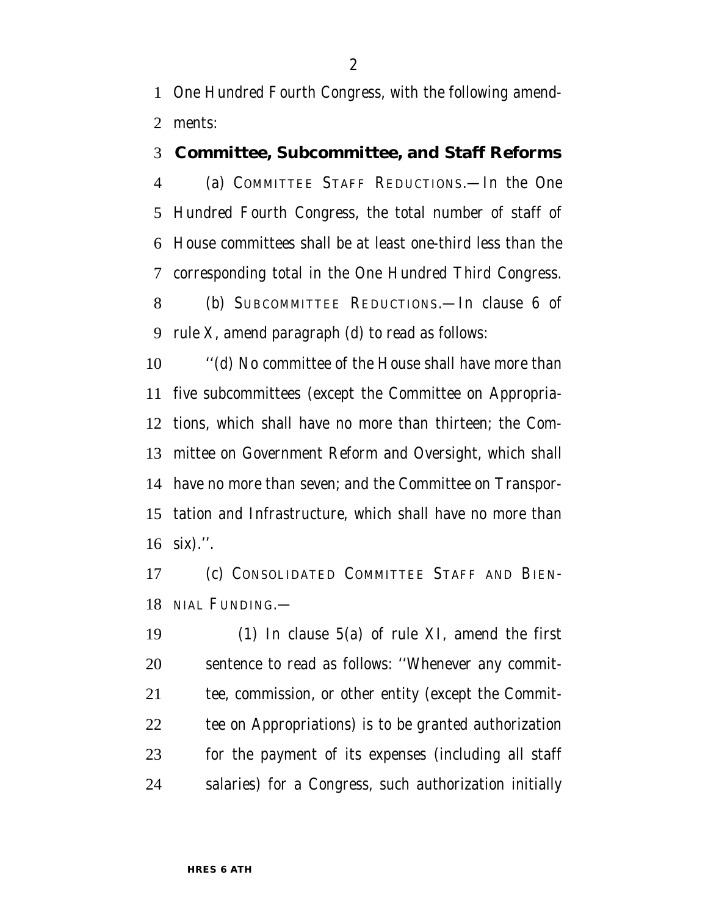One Hundred Fourth Congress, with the following amend-ments:

### **Committee, Subcommittee, and Staff Reforms**

 (a) COMMITTEE STAFF REDUCTIONS.—In the One Hundred Fourth Congress, the total number of staff of House committees shall be at least one-third less than the corresponding total in the One Hundred Third Congress.

 (b) SUBCOMMITTEE REDUCTIONS.—In clause 6 of rule X, amend paragraph (d) to read as follows:

 ''(d) No committee of the House shall have more than five subcommittees (except the Committee on Appropria- tions, which shall have no more than thirteen; the Com- mittee on Government Reform and Oversight, which shall have no more than seven; and the Committee on Transpor- tation and Infrastructure, which shall have no more than six).''.

 (c) CONSOLIDATED COMMITTEE STAFF AND BIEN-NIAL FUNDING.—

 (1) In clause 5(a) of rule XI, amend the first sentence to read as follows: ''Whenever any commit- tee, commission, or other entity (except the Commit- tee on Appropriations) is to be granted authorization for the payment of its expenses (including all staff salaries) for a Congress, such authorization initially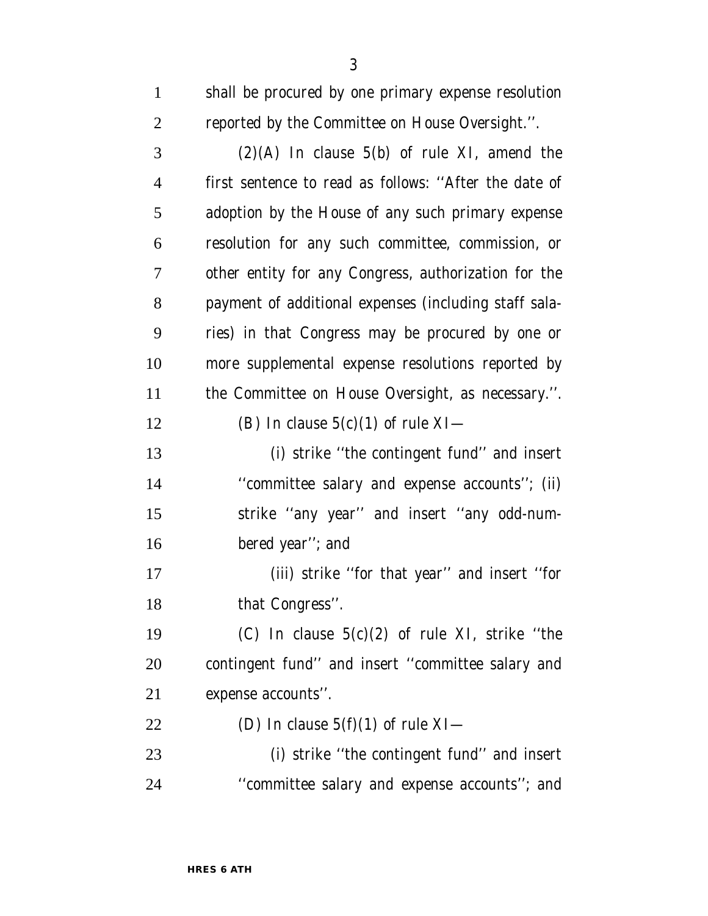shall be procured by one primary expense resolution reported by the Committee on House Oversight.''. (2)(A) In clause 5(b) of rule XI, amend the first sentence to read as follows: ''After the date of adoption by the House of any such primary expense resolution for any such committee, commission, or other entity for any Congress, authorization for the payment of additional expenses (including staff sala- ries) in that Congress may be procured by one or more supplemental expense resolutions reported by the Committee on House Oversight, as necessary.''. 12 (B) In clause  $5(c)(1)$  of rule XI— (i) strike ''the contingent fund'' and insert ''committee salary and expense accounts''; (ii)

 strike ''any year'' and insert ''any odd-num-bered year''; and

 (iii) strike ''for that year'' and insert ''for 18 that Congress".

19 (C) In clause  $5(c)(2)$  of rule XI, strike "the contingent fund'' and insert ''committee salary and expense accounts''.

22 (D) In clause  $5(f)(1)$  of rule XI-

 (i) strike ''the contingent fund'' and insert ''committee salary and expense accounts''; and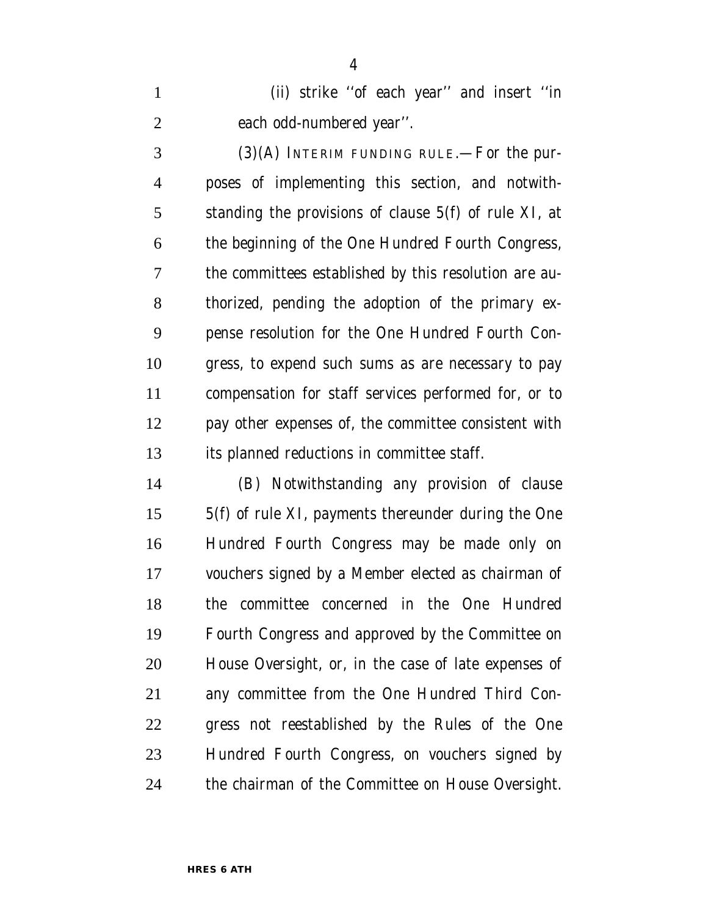(ii) strike ''of each year'' and insert ''in each odd-numbered year''.

 (3)(A) INTERIM FUNDING RULE.—For the pur- poses of implementing this section, and notwith- standing the provisions of clause 5(f) of rule XI, at the beginning of the One Hundred Fourth Congress, the committees established by this resolution are au- thorized, pending the adoption of the primary ex- pense resolution for the One Hundred Fourth Con- gress, to expend such sums as are necessary to pay compensation for staff services performed for, or to pay other expenses of, the committee consistent with its planned reductions in committee staff.

 (B) Notwithstanding any provision of clause 5(f) of rule XI, payments thereunder during the One Hundred Fourth Congress may be made only on vouchers signed by a Member elected as chairman of the committee concerned in the One Hundred Fourth Congress and approved by the Committee on House Oversight, or, in the case of late expenses of any committee from the One Hundred Third Con- gress not reestablished by the Rules of the One Hundred Fourth Congress, on vouchers signed by the chairman of the Committee on House Oversight.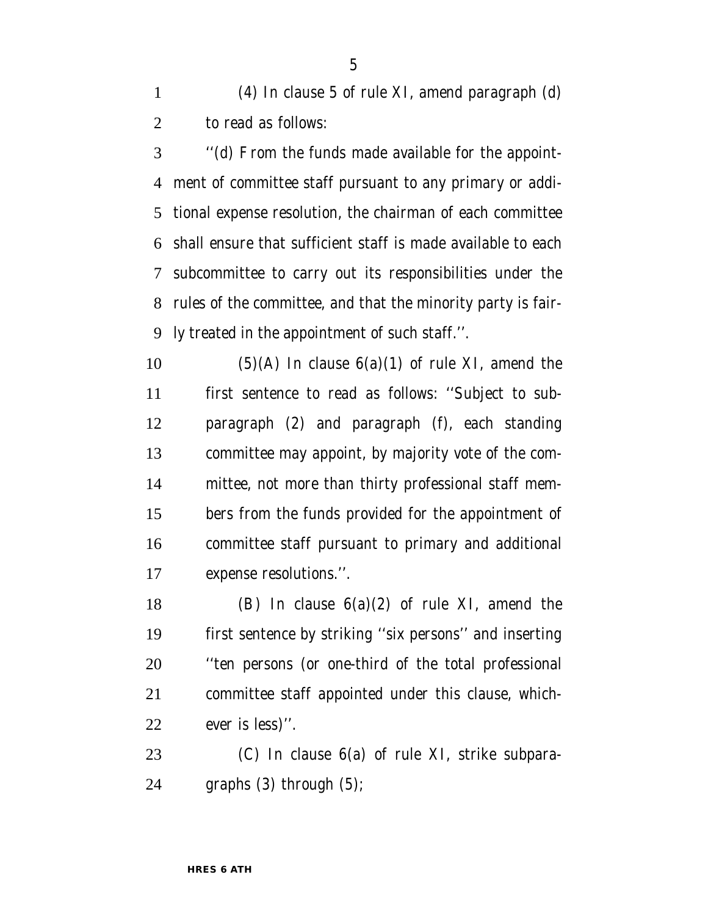(4) In clause 5 of rule XI, amend paragraph (d) to read as follows:

 ''(d) From the funds made available for the appoint- ment of committee staff pursuant to any primary or addi- tional expense resolution, the chairman of each committee shall ensure that sufficient staff is made available to each subcommittee to carry out its responsibilities under the rules of the committee, and that the minority party is fair-ly treated in the appointment of such staff.''.

10 (5)(A) In clause  $6(a)(1)$  of rule XI, amend the first sentence to read as follows: ''Subject to sub- paragraph (2) and paragraph (f), each standing committee may appoint, by majority vote of the com- mittee, not more than thirty professional staff mem- bers from the funds provided for the appointment of committee staff pursuant to primary and additional expense resolutions.''.

18 (B) In clause  $6(a)(2)$  of rule XI, amend the first sentence by striking ''six persons'' and inserting ''ten persons (or one-third of the total professional committee staff appointed under this clause, which-ever is less)''.

 (C) In clause 6(a) of rule XI, strike subpara-graphs (3) through (5);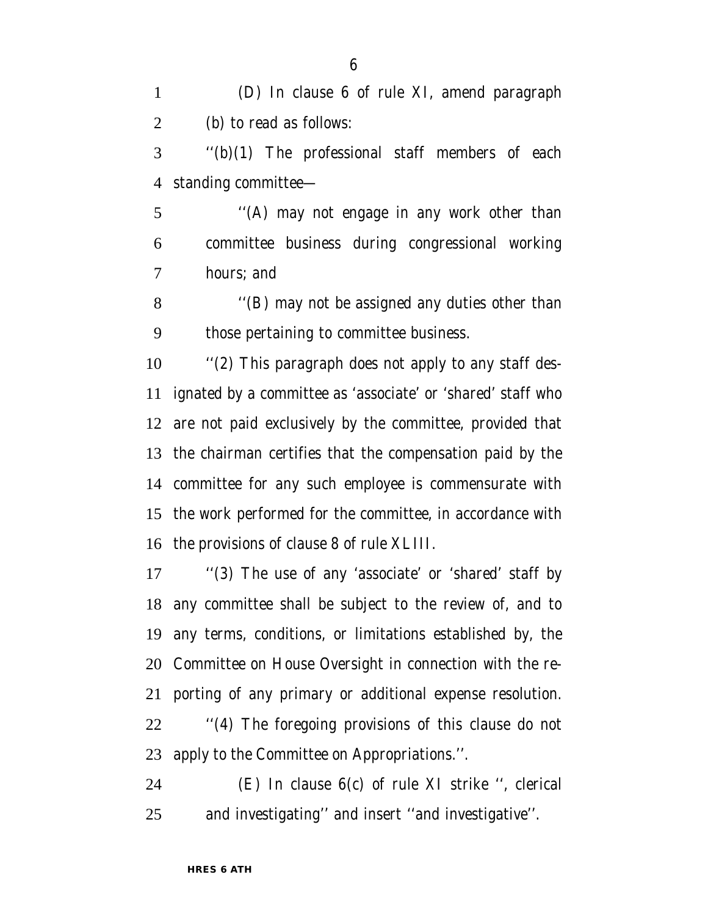(D) In clause 6 of rule XI, amend paragraph (b) to read as follows:

 ''(b)(1) The professional staff members of each standing committee—

 ''(A) may not engage in any work other than committee business during congressional working hours; and

 ''(B) may not be assigned any duties other than those pertaining to committee business.

 ''(2) This paragraph does not apply to any staff des- ignated by a committee as 'associate' or 'shared' staff who are not paid exclusively by the committee, provided that the chairman certifies that the compensation paid by the committee for any such employee is commensurate with the work performed for the committee, in accordance with the provisions of clause 8 of rule XLIII.

 ''(3) The use of any 'associate' or 'shared' staff by any committee shall be subject to the review of, and to any terms, conditions, or limitations established by, the Committee on House Oversight in connection with the re- porting of any primary or additional expense resolution. ''(4) The foregoing provisions of this clause do not apply to the Committee on Appropriations.''.

 (E) In clause 6(c) of rule XI strike '', clerical and investigating'' and insert ''and investigative''.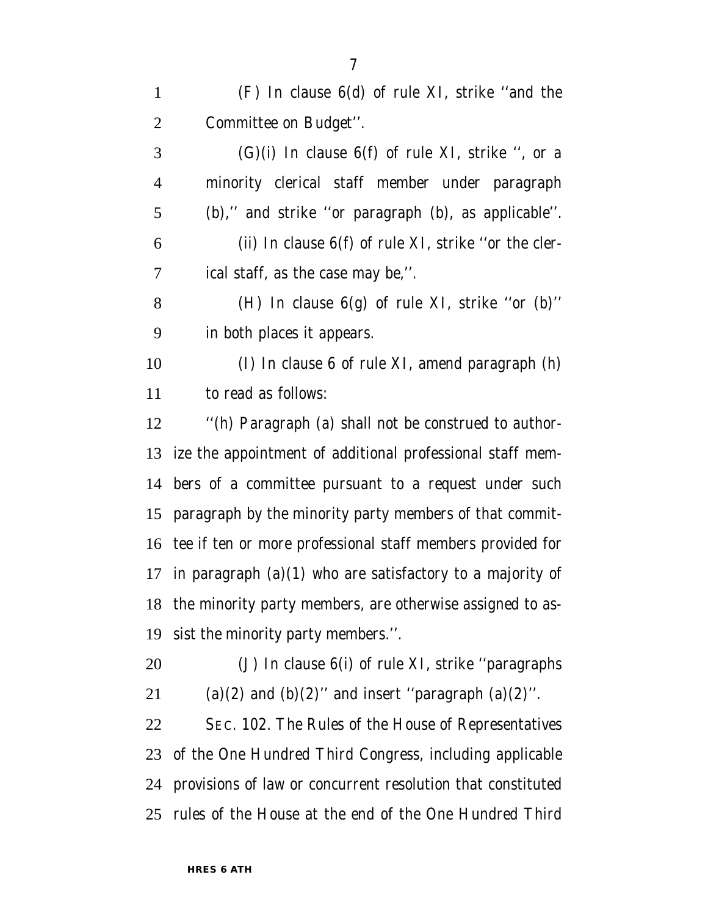(F) In clause 6(d) of rule XI, strike ''and the Committee on Budget''.

 (G)(i) In clause 6(f) of rule XI, strike ", or a minority clerical staff member under paragraph (b),'' and strike ''or paragraph (b), as applicable''. (ii) In clause  $6(f)$  of rule XI, strike "or the cler-ical staff, as the case may be,''.

8 (H) In clause  $6(g)$  of rule XI, strike "or (b)" in both places it appears.

 (I) In clause 6 of rule XI, amend paragraph (h) to read as follows:

 ''(h) Paragraph (a) shall not be construed to author- ize the appointment of additional professional staff mem- bers of a committee pursuant to a request under such paragraph by the minority party members of that commit- tee if ten or more professional staff members provided for 17 in paragraph  $(a)(1)$  who are satisfactory to a majority of the minority party members, are otherwise assigned to as-sist the minority party members.''.

 (J) In clause 6(i) of rule XI, strike ''paragraphs 21 (a)(2) and (b)(2)" and insert "paragraph (a)(2)".

 SEC. 102. The Rules of the House of Representatives of the One Hundred Third Congress, including applicable provisions of law or concurrent resolution that constituted rules of the House at the end of the One Hundred Third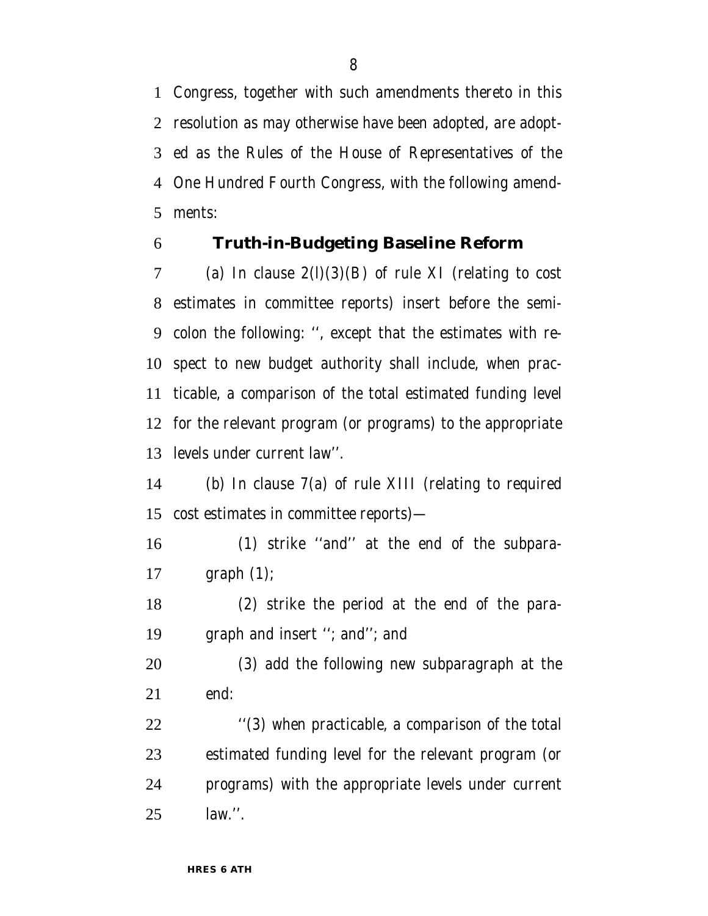Congress, together with such amendments thereto in this resolution as may otherwise have been adopted, are adopt- ed as the Rules of the House of Representatives of the One Hundred Fourth Congress, with the following amend-ments:

# **Truth-in-Budgeting Baseline Reform**

7 (a) In clause  $2(l)(3)(B)$  of rule XI (relating to cost estimates in committee reports) insert before the semi- colon the following: '', except that the estimates with re- spect to new budget authority shall include, when prac- ticable, a comparison of the total estimated funding level for the relevant program (or programs) to the appropriate levels under current law''.

 (b) In clause 7(a) of rule XIII (relating to required cost estimates in committee reports)—

 (1) strike ''and'' at the end of the subpara-graph (1);

 (2) strike the period at the end of the para-graph and insert ''; and''; and

 (3) add the following new subparagraph at the end:

22 ''(3) when practicable, a comparison of the total estimated funding level for the relevant program (or programs) with the appropriate levels under current law.''.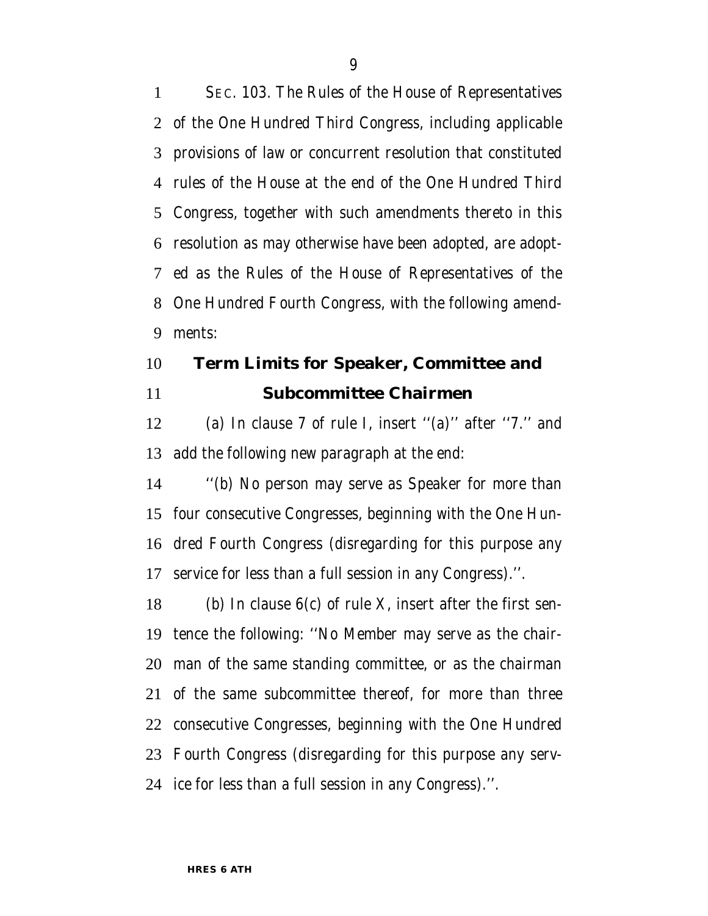SEC. 103. The Rules of the House of Representatives of the One Hundred Third Congress, including applicable provisions of law or concurrent resolution that constituted rules of the House at the end of the One Hundred Third Congress, together with such amendments thereto in this resolution as may otherwise have been adopted, are adopt- ed as the Rules of the House of Representatives of the One Hundred Fourth Congress, with the following amend-ments:

# **Term Limits for Speaker, Committee and Subcommittee Chairmen**

 (a) In clause 7 of rule I, insert ''(a)'' after ''7.'' and add the following new paragraph at the end:

 ''(b) No person may serve as Speaker for more than four consecutive Congresses, beginning with the One Hun- dred Fourth Congress (disregarding for this purpose any service for less than a full session in any Congress).''.

18 (b) In clause  $6(c)$  of rule X, insert after the first sen- tence the following: ''No Member may serve as the chair- man of the same standing committee, or as the chairman of the same subcommittee thereof, for more than three consecutive Congresses, beginning with the One Hundred Fourth Congress (disregarding for this purpose any serv-ice for less than a full session in any Congress).''.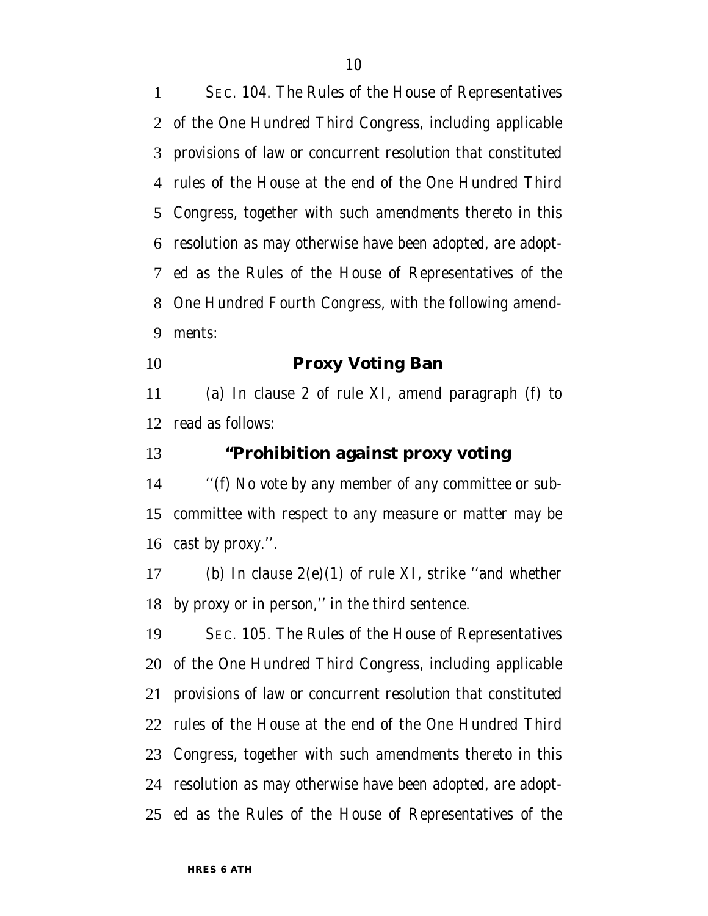SEC. 104. The Rules of the House of Representatives of the One Hundred Third Congress, including applicable provisions of law or concurrent resolution that constituted rules of the House at the end of the One Hundred Third Congress, together with such amendments thereto in this resolution as may otherwise have been adopted, are adopt- ed as the Rules of the House of Representatives of the One Hundred Fourth Congress, with the following amend-ments:

**Proxy Voting Ban**

 (a) In clause 2 of rule XI, amend paragraph (f) to read as follows:

### **''Prohibition against proxy voting**

 ''(f) No vote by any member of any committee or sub- committee with respect to any measure or matter may be cast by proxy.''.

 (b) In clause 2(e)(1) of rule XI, strike ''and whether by proxy or in person,'' in the third sentence.

 SEC. 105. The Rules of the House of Representatives of the One Hundred Third Congress, including applicable provisions of law or concurrent resolution that constituted rules of the House at the end of the One Hundred Third Congress, together with such amendments thereto in this resolution as may otherwise have been adopted, are adopt-ed as the Rules of the House of Representatives of the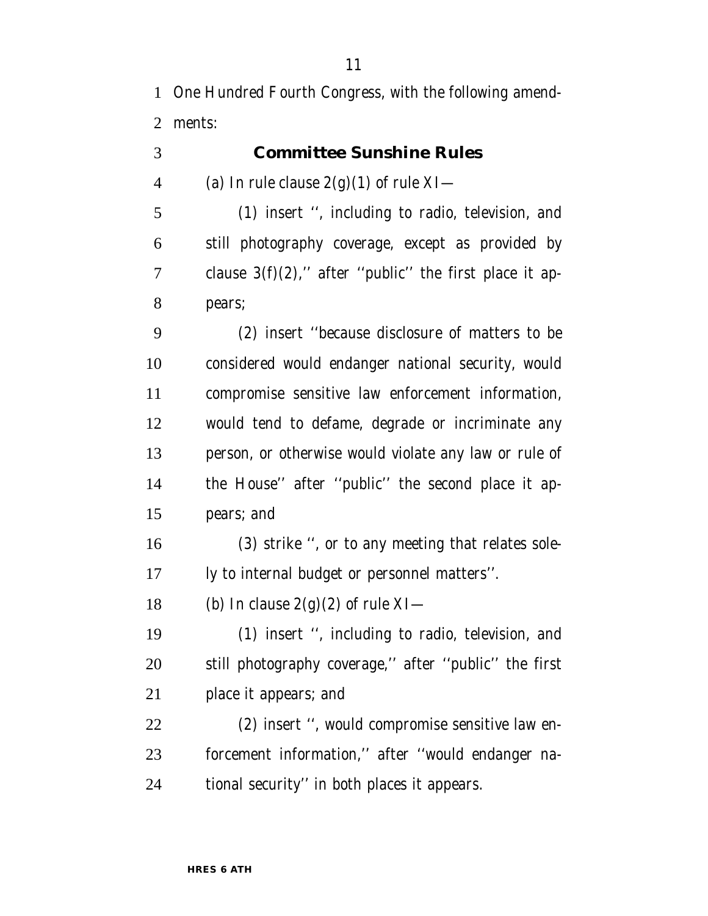One Hundred Fourth Congress, with the following amend-ments:

**Committee Sunshine Rules**

4 (a) In rule clause  $2(g)(1)$  of rule XI— (1) insert '', including to radio, television, and still photography coverage, except as provided by 7 clause  $3(f)(2)$ ," after "public" the first place it ap- pears; (2) insert ''because disclosure of matters to be considered would endanger national security, would compromise sensitive law enforcement information, would tend to defame, degrade or incriminate any person, or otherwise would violate any law or rule of the House'' after ''public'' the second place it ap- pears; and (3) strike '', or to any meeting that relates sole- ly to internal budget or personnel matters''. 18 (b) In clause  $2(g)(2)$  of rule XI— (1) insert '', including to radio, television, and still photography coverage,'' after ''public'' the first

place it appears; and

 (2) insert '', would compromise sensitive law en- forcement information,'' after ''would endanger na-tional security'' in both places it appears.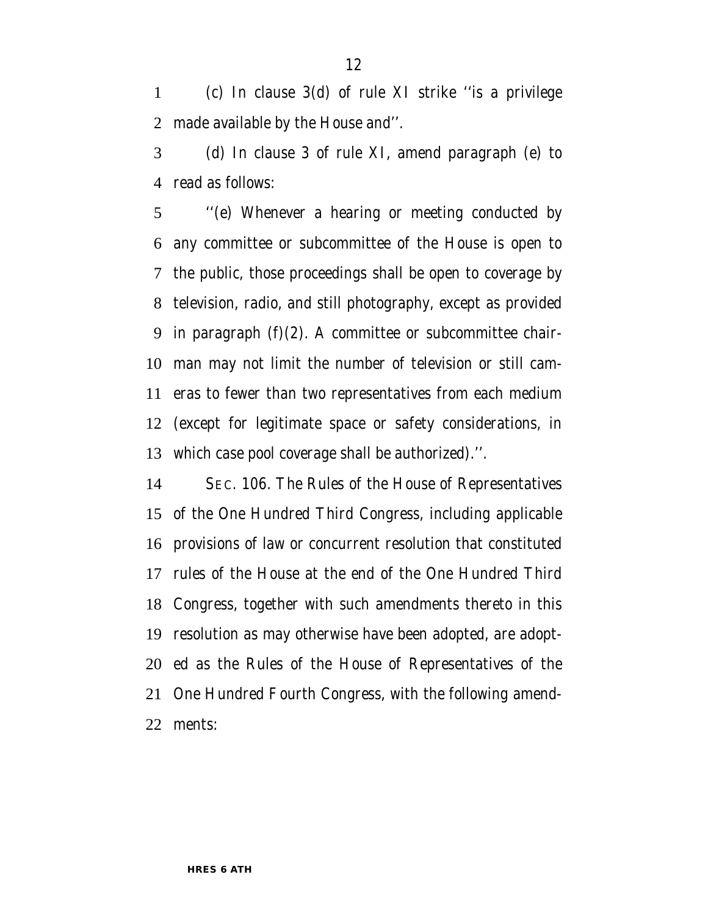(c) In clause 3(d) of rule XI strike ''is a privilege made available by the House and''.

 (d) In clause 3 of rule XI, amend paragraph (e) to read as follows:

 ''(e) Whenever a hearing or meeting conducted by any committee or subcommittee of the House is open to the public, those proceedings shall be open to coverage by television, radio, and still photography, except as provided in paragraph (f)(2). A committee or subcommittee chair- man may not limit the number of television or still cam- eras to fewer than two representatives from each medium (except for legitimate space or safety considerations, in which case pool coverage shall be authorized).''.

 SEC. 106. The Rules of the House of Representatives of the One Hundred Third Congress, including applicable provisions of law or concurrent resolution that constituted rules of the House at the end of the One Hundred Third Congress, together with such amendments thereto in this resolution as may otherwise have been adopted, are adopt- ed as the Rules of the House of Representatives of the One Hundred Fourth Congress, with the following amend-ments: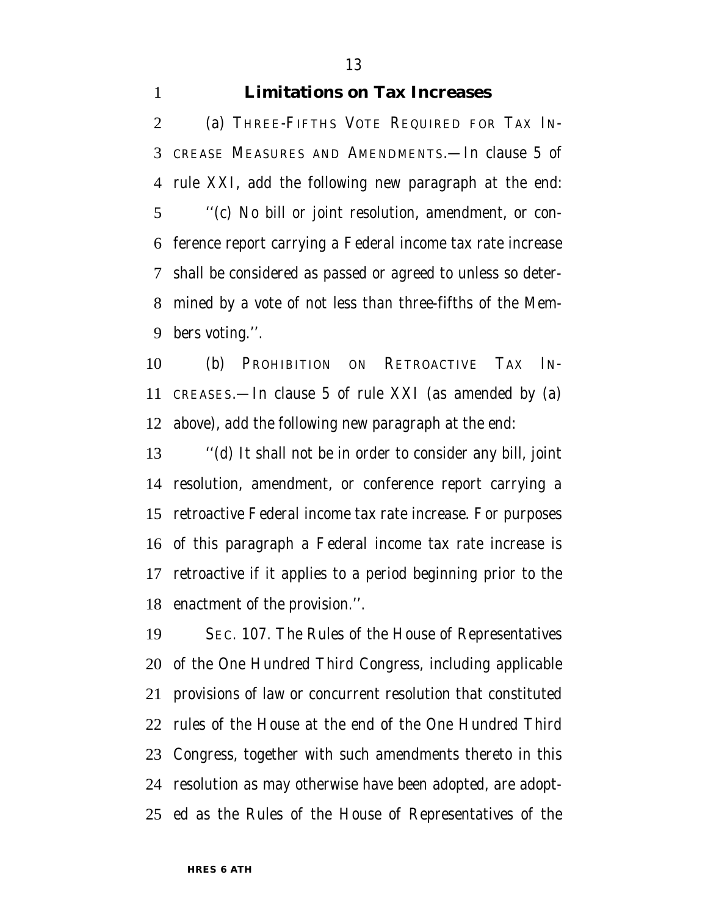#### **Limitations on Tax Increases**

 (a) THREE-FIFTHS VOTE REQUIRED FOR TAX IN- CREASE MEASURES AND AMENDMENTS.—In clause 5 of rule XXI, add the following new paragraph at the end: ''(c) No bill or joint resolution, amendment, or con- ference report carrying a Federal income tax rate increase shall be considered as passed or agreed to unless so deter- mined by a vote of not less than three-fifths of the Mem-bers voting.''.

 (b) PROHIBITION ON RETROACTIVE TAX IN- CREASES.—In clause 5 of rule XXI (as amended by (a) above), add the following new paragraph at the end:

 ''(d) It shall not be in order to consider any bill, joint resolution, amendment, or conference report carrying a retroactive Federal income tax rate increase. For purposes of this paragraph a Federal income tax rate increase is retroactive if it applies to a period beginning prior to the enactment of the provision.''.

 SEC. 107. The Rules of the House of Representatives of the One Hundred Third Congress, including applicable provisions of law or concurrent resolution that constituted rules of the House at the end of the One Hundred Third Congress, together with such amendments thereto in this resolution as may otherwise have been adopted, are adopt-ed as the Rules of the House of Representatives of the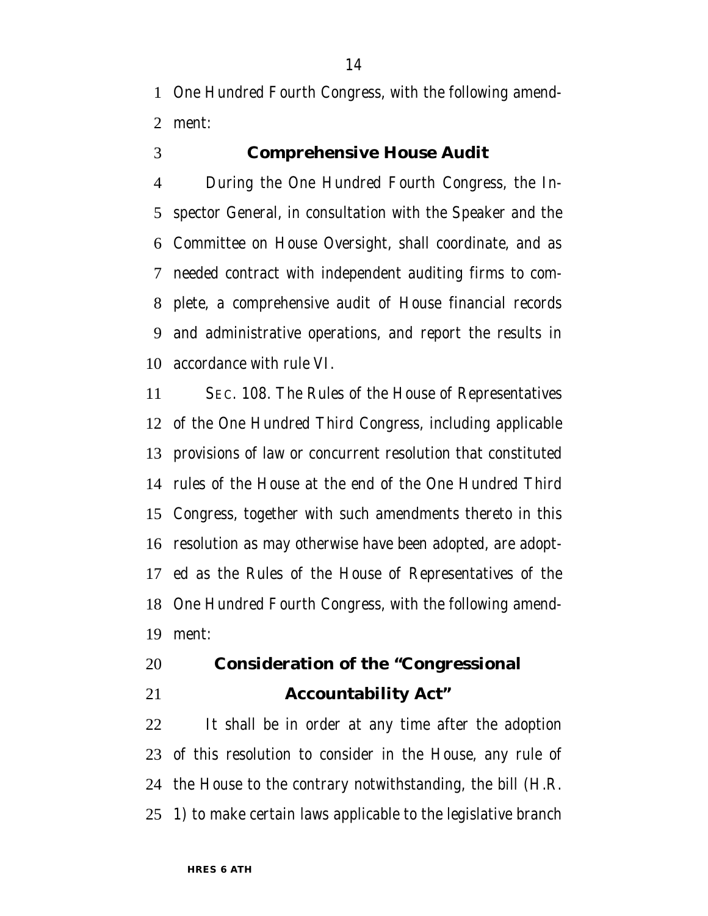One Hundred Fourth Congress, with the following amend-ment:

### **Comprehensive House Audit**

 During the One Hundred Fourth Congress, the In- spector General, in consultation with the Speaker and the Committee on House Oversight, shall coordinate, and as needed contract with independent auditing firms to com- plete, a comprehensive audit of House financial records and administrative operations, and report the results in accordance with rule VI.

 SEC. 108. The Rules of the House of Representatives of the One Hundred Third Congress, including applicable provisions of law or concurrent resolution that constituted rules of the House at the end of the One Hundred Third Congress, together with such amendments thereto in this resolution as may otherwise have been adopted, are adopt- ed as the Rules of the House of Representatives of the One Hundred Fourth Congress, with the following amend-ment:

# **Consideration of the ''Congressional Accountability Act''**

 It shall be in order at any time after the adoption of this resolution to consider in the House, any rule of the House to the contrary notwithstanding, the bill (H.R. 1) to make certain laws applicable to the legislative branch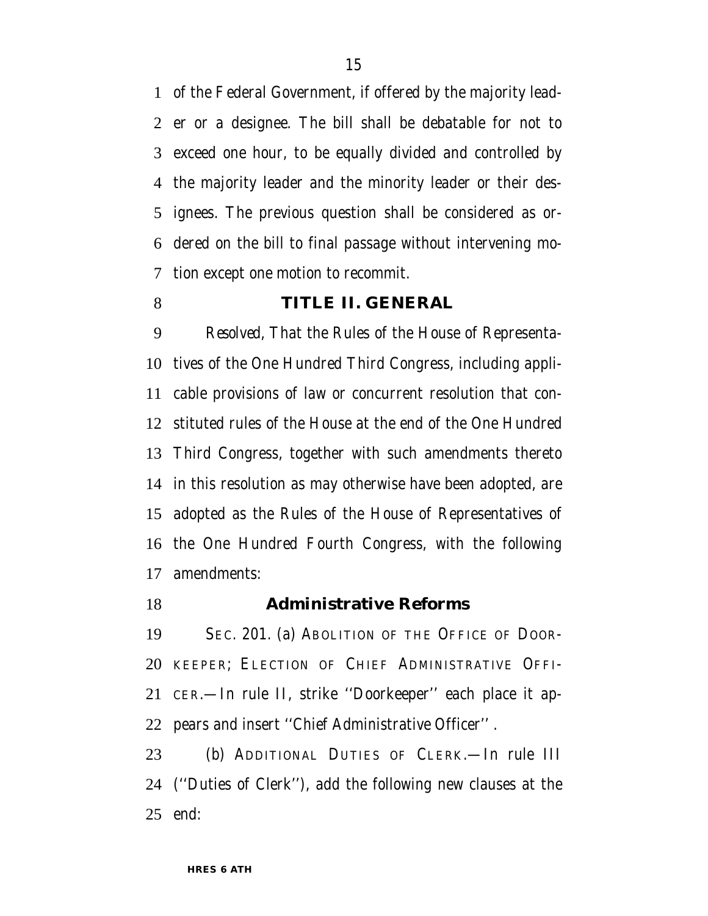of the Federal Government, if offered by the majority lead- er or a designee. The bill shall be debatable for not to exceed one hour, to be equally divided and controlled by the majority leader and the minority leader or their des- ignees. The previous question shall be considered as or- dered on the bill to final passage without intervening mo-tion except one motion to recommit.

#### **TITLE II. GENERAL**

 *Resolved,* That the Rules of the House of Representa- tives of the One Hundred Third Congress, including appli- cable provisions of law or concurrent resolution that con- stituted rules of the House at the end of the One Hundred Third Congress, together with such amendments thereto in this resolution as may otherwise have been adopted, are adopted as the Rules of the House of Representatives of the One Hundred Fourth Congress, with the following amendments:

#### **Administrative Reforms**

 SEC. 201. (a) ABOLITION OF THE OFFICE OF DOOR- KEEPER; ELECTION OF CHIEF ADMINISTRATIVE OFFI- CER.—In rule II, strike ''Doorkeeper'' each place it ap-pears and insert ''Chief Administrative Officer'' .

 (b) ADDITIONAL DUTIES OF CLERK.—In rule III (''Duties of Clerk''), add the following new clauses at the end: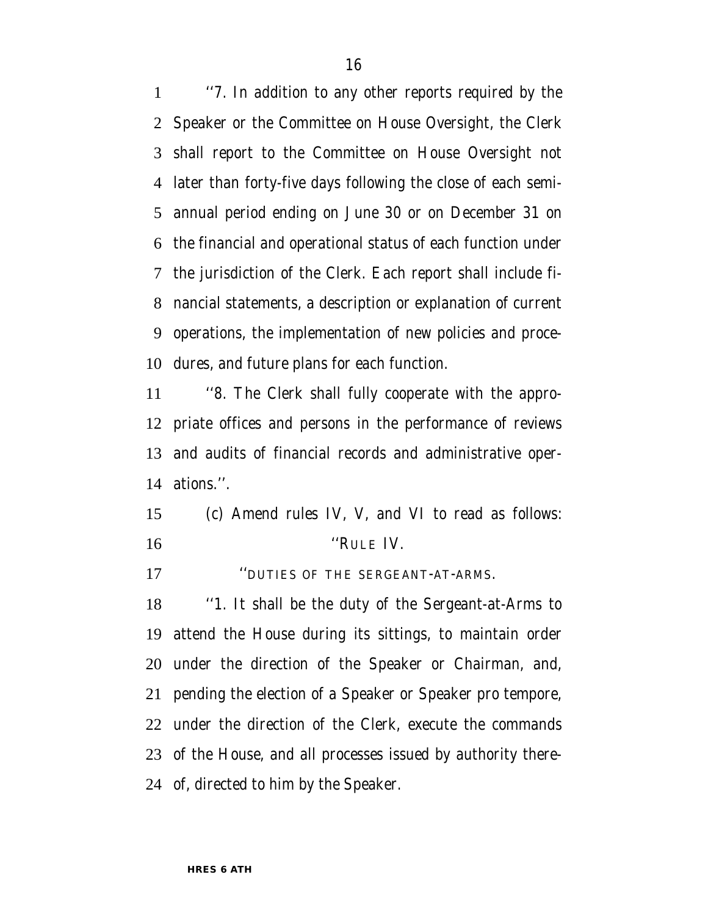''7. In addition to any other reports required by the Speaker or the Committee on House Oversight, the Clerk shall report to the Committee on House Oversight not later than forty-five days following the close of each semi- annual period ending on June 30 or on December 31 on the financial and operational status of each function under the jurisdiction of the Clerk. Each report shall include fi- nancial statements, a description or explanation of current operations, the implementation of new policies and proce-dures, and future plans for each function.

 ''8. The Clerk shall fully cooperate with the appro- priate offices and persons in the performance of reviews and audits of financial records and administrative oper-ations.''.

 (c) Amend rules IV, V, and VI to read as follows: ''RULE IV.

''DUTIES OF THE SERGEANT-AT-ARMS.

 ''1. It shall be the duty of the Sergeant-at-Arms to attend the House during its sittings, to maintain order under the direction of the Speaker or Chairman, and, pending the election of a Speaker or Speaker pro tempore, under the direction of the Clerk, execute the commands of the House, and all processes issued by authority there-of, directed to him by the Speaker.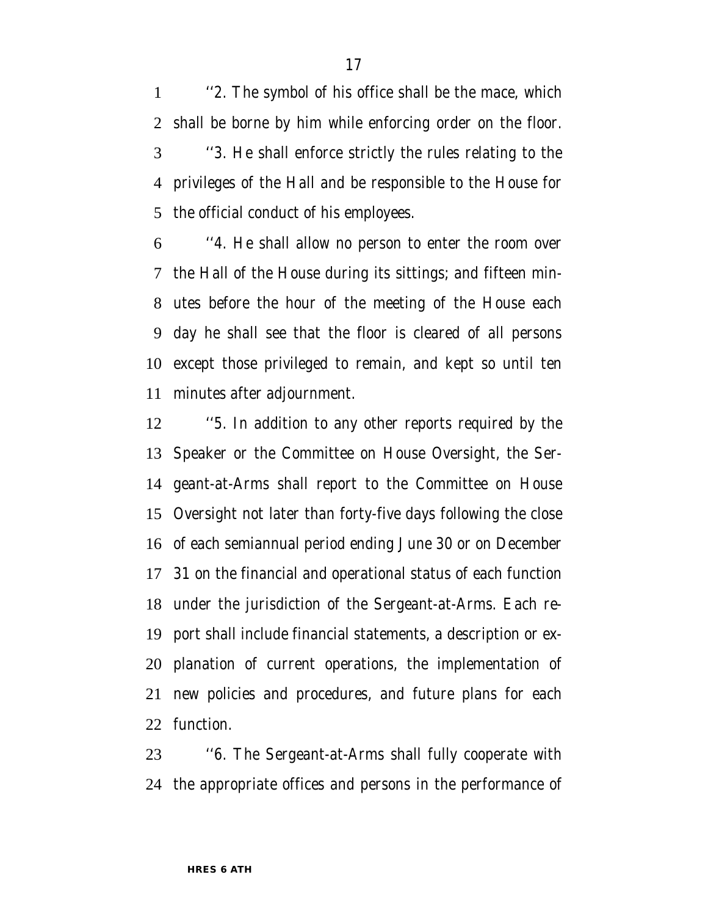''2. The symbol of his office shall be the mace, which shall be borne by him while enforcing order on the floor. ''3. He shall enforce strictly the rules relating to the privileges of the Hall and be responsible to the House for the official conduct of his employees.

 ''4. He shall allow no person to enter the room over the Hall of the House during its sittings; and fifteen min- utes before the hour of the meeting of the House each day he shall see that the floor is cleared of all persons except those privileged to remain, and kept so until ten minutes after adjournment.

 ''5. In addition to any other reports required by the Speaker or the Committee on House Oversight, the Ser- geant-at-Arms shall report to the Committee on House Oversight not later than forty-five days following the close of each semiannual period ending June 30 or on December 31 on the financial and operational status of each function under the jurisdiction of the Sergeant-at-Arms. Each re- port shall include financial statements, a description or ex- planation of current operations, the implementation of new policies and procedures, and future plans for each function.

 ''6. The Sergeant-at-Arms shall fully cooperate with the appropriate offices and persons in the performance of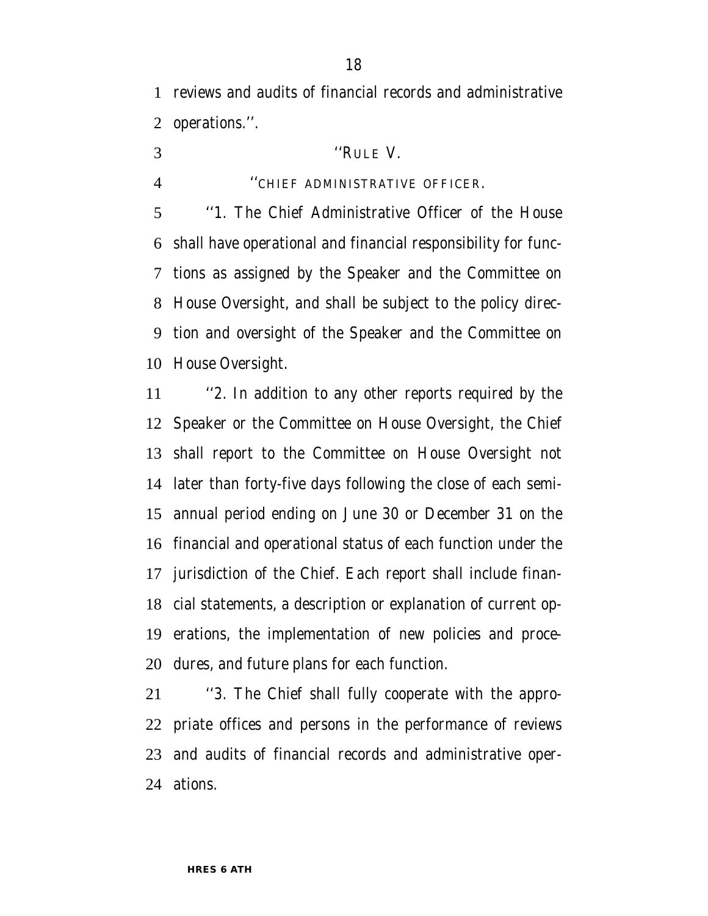reviews and audits of financial records and administrative operations.''.

- ''RULE V.
- 

### ''CHIEF ADMINISTRATIVE OFFICER.

 ''1. The Chief Administrative Officer of the House shall have operational and financial responsibility for func- tions as assigned by the Speaker and the Committee on House Oversight, and shall be subject to the policy direc- tion and oversight of the Speaker and the Committee on House Oversight.

 ''2. In addition to any other reports required by the Speaker or the Committee on House Oversight, the Chief shall report to the Committee on House Oversight not later than forty-five days following the close of each semi- annual period ending on June 30 or December 31 on the financial and operational status of each function under the jurisdiction of the Chief. Each report shall include finan- cial statements, a description or explanation of current op- erations, the implementation of new policies and proce-dures, and future plans for each function.

 ''3. The Chief shall fully cooperate with the appro- priate offices and persons in the performance of reviews and audits of financial records and administrative oper-ations.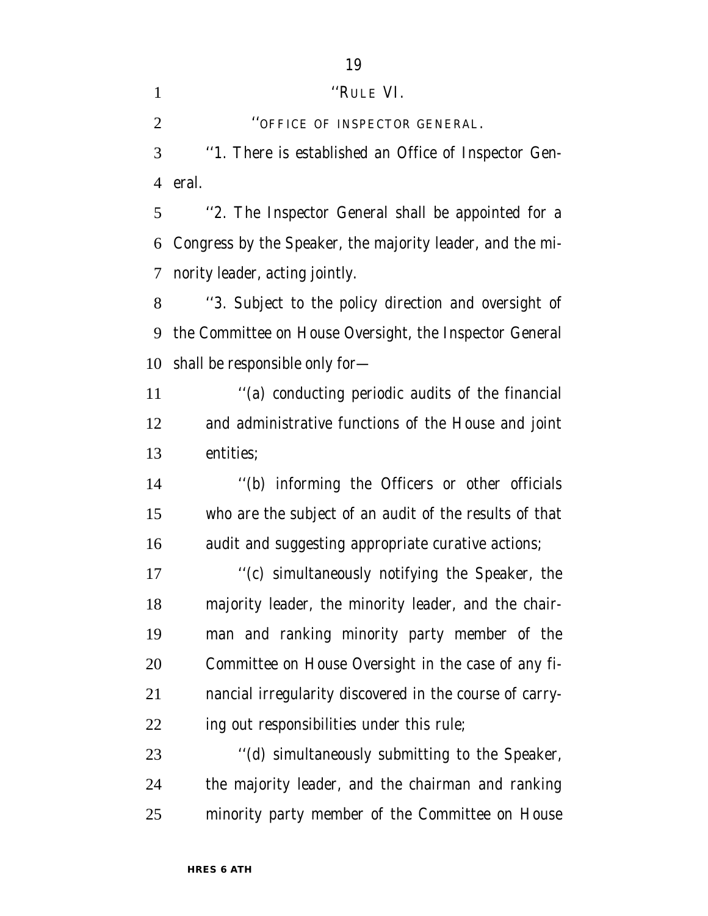1 ''RULE VI.

**CONFICE OF INSPECTOR GENERAL.** 

 ''1. There is established an Office of Inspector Gen-eral.

 ''2. The Inspector General shall be appointed for a Congress by the Speaker, the majority leader, and the mi-nority leader, acting jointly.

 ''3. Subject to the policy direction and oversight of the Committee on House Oversight, the Inspector General shall be responsible only for—

 ''(a) conducting periodic audits of the financial and administrative functions of the House and joint entities;

 ''(b) informing the Officers or other officials who are the subject of an audit of the results of that audit and suggesting appropriate curative actions;

 ''(c) simultaneously notifying the Speaker, the majority leader, the minority leader, and the chair- man and ranking minority party member of the Committee on House Oversight in the case of any fi- nancial irregularity discovered in the course of carry-ing out responsibilities under this rule;

23 ''(d) simultaneously submitting to the Speaker, the majority leader, and the chairman and ranking minority party member of the Committee on House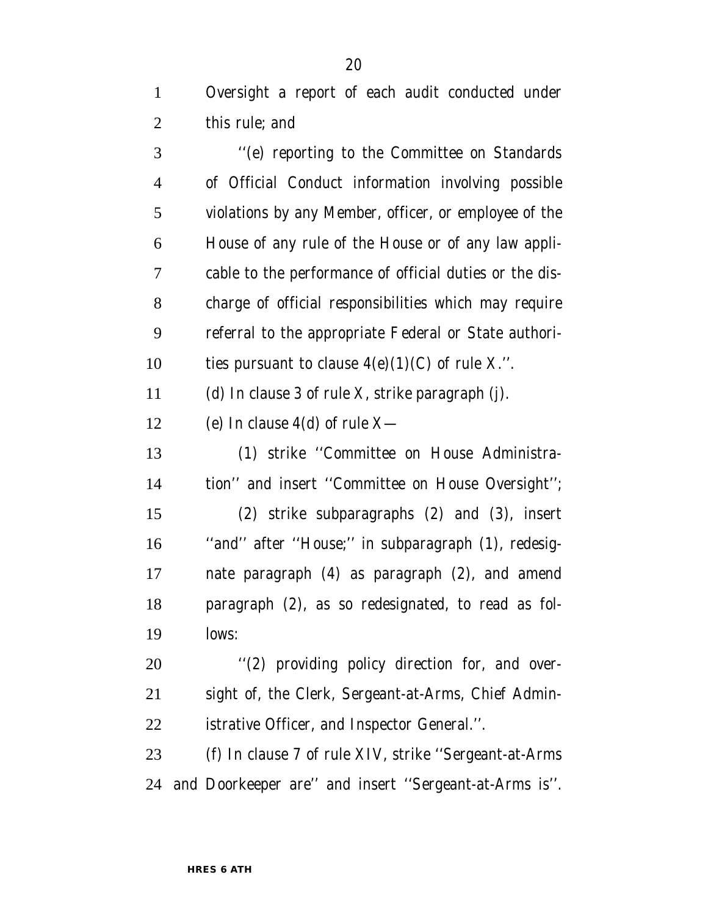Oversight a report of each audit conducted under this rule; and

 ''(e) reporting to the Committee on Standards of Official Conduct information involving possible violations by any Member, officer, or employee of the House of any rule of the House or of any law appli- cable to the performance of official duties or the dis- charge of official responsibilities which may require referral to the appropriate Federal or State authori-10 ties pursuant to clause  $4(e)(1)(C)$  of rule X.". (d) In clause 3 of rule X, strike paragraph (j). 12 (e) In clause  $4(d)$  of rule  $X$ — (1) strike ''Committee on House Administra- tion'' and insert ''Committee on House Oversight''; (2) strike subparagraphs (2) and (3), insert ''and'' after ''House;'' in subparagraph (1), redesig- nate paragraph (4) as paragraph (2), and amend paragraph (2), as so redesignated, to read as fol- lows:  $\frac{1}{2}$  (2) providing policy direction for, and over-

 sight of, the Clerk, Sergeant-at-Arms, Chief Admin-istrative Officer, and Inspector General.''.

 (f) In clause 7 of rule XIV, strike ''Sergeant-at-Arms and Doorkeeper are'' and insert ''Sergeant-at-Arms is''.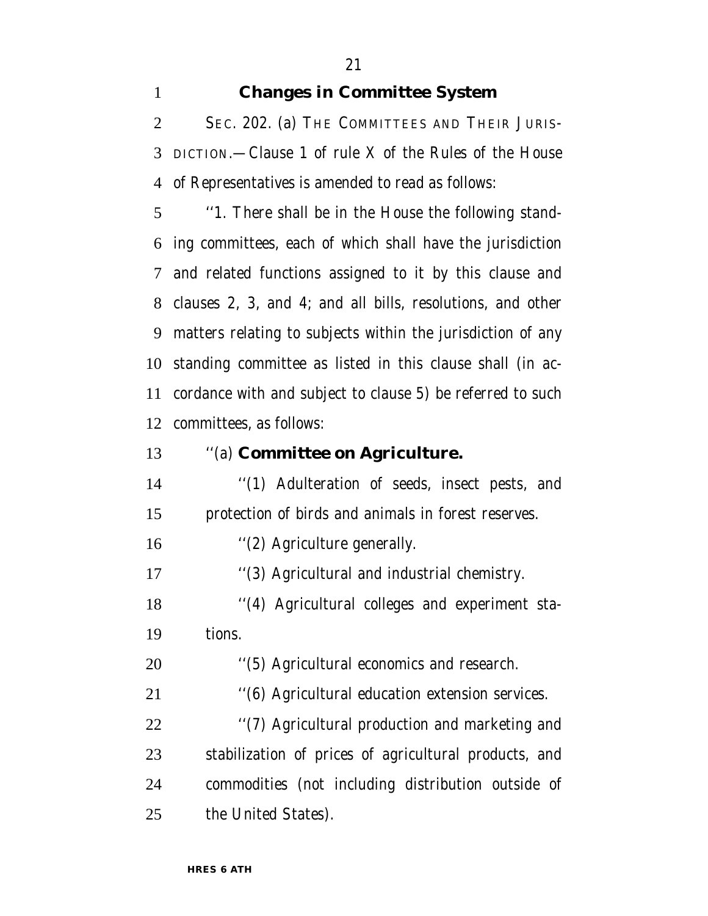### **Changes in Committee System**

 SEC. 202. (a) THE COMMITTEES AND THEIR JURIS- DICTION.—Clause 1 of rule X of the Rules of the House of Representatives is amended to read as follows:

 ''1. There shall be in the House the following stand- ing committees, each of which shall have the jurisdiction and related functions assigned to it by this clause and clauses 2, 3, and 4; and all bills, resolutions, and other matters relating to subjects within the jurisdiction of any standing committee as listed in this clause shall (in ac- cordance with and subject to clause 5) be referred to such committees, as follows:

### ''(a) **Committee on Agriculture.**

 ''(1) Adulteration of seeds, insect pests, and protection of birds and animals in forest reserves.

16 '(2) Agriculture generally.

17 "(3) Agricultural and industrial chemistry.

 ''(4) Agricultural colleges and experiment sta-tions.

''(5) Agricultural economics and research.

''(6) Agricultural education extension services.

 ''(7) Agricultural production and marketing and stabilization of prices of agricultural products, and commodities (not including distribution outside of 25 the United States).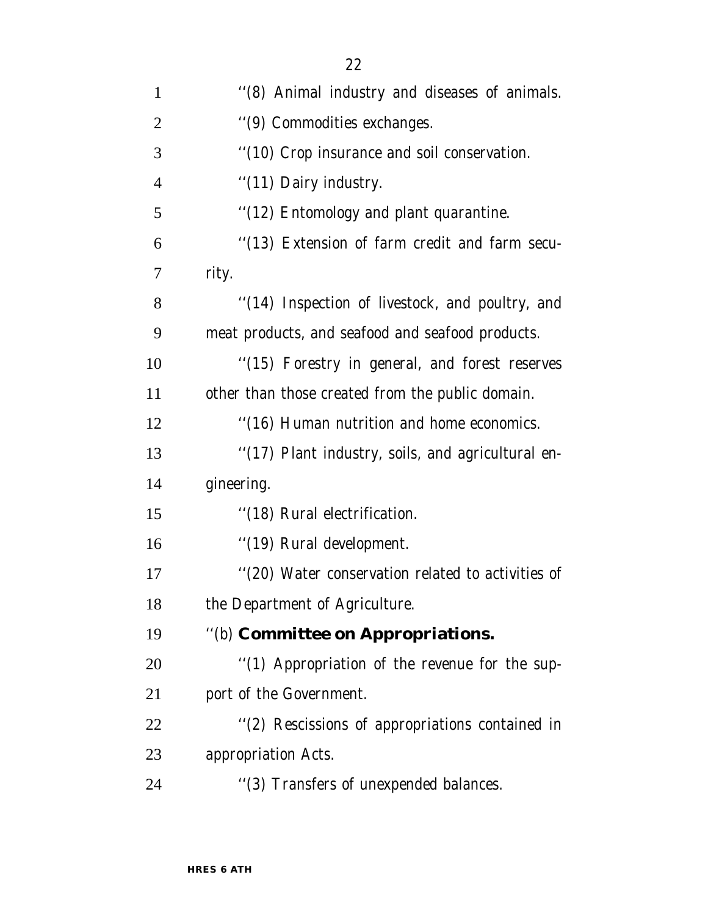| $\mathbf{1}$   | "(8) Animal industry and diseases of animals.     |
|----------------|---------------------------------------------------|
| $\overline{2}$ | "(9) Commodities exchanges.                       |
| 3              | "(10) Crop insurance and soil conservation.       |
| $\overline{4}$ | "(11) Dairy industry.                             |
| 5              | "(12) Entomology and plant quarantine.            |
| 6              | "(13) Extension of farm credit and farm secu-     |
| 7              | rity.                                             |
| 8              | "(14) Inspection of livestock, and poultry, and   |
| 9              | meat products, and seafood and seafood products.  |
| 10             | "(15) Forestry in general, and forest reserves    |
| 11             | other than those created from the public domain.  |
| 12             | "(16) Human nutrition and home economics.         |
| 13             | "(17) Plant industry, soils, and agricultural en- |
| 14             | gineering.                                        |
| 15             | "(18) Rural electrification.                      |
| 16             | "(19) Rural development.                          |
| 17             | "(20) Water conservation related to activities of |
| 18             | the Department of Agriculture.                    |
| 19             | "(b) Committee on Appropriations.                 |
| 20             | "(1) Appropriation of the revenue for the sup-    |
| 21             | port of the Government.                           |
| 22             | "(2) Rescissions of appropriations contained in   |
| 23             | appropriation Acts.                               |
| 24             | "(3) Transfers of unexpended balances.            |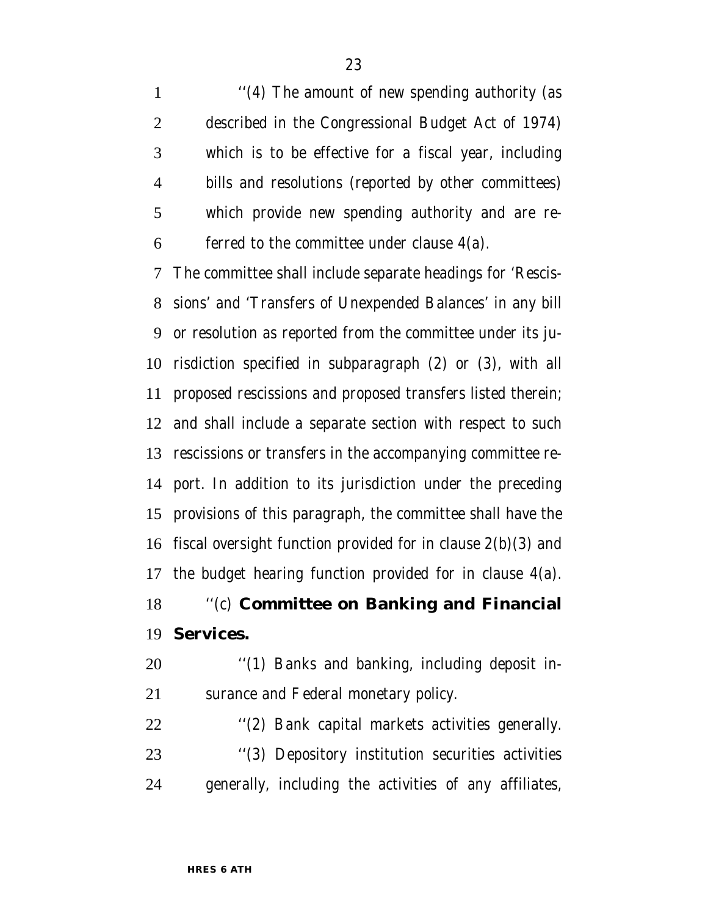1 ''(4) The amount of new spending authority (as described in the Congressional Budget Act of 1974) which is to be effective for a fiscal year, including bills and resolutions (reported by other committees) which provide new spending authority and are re-ferred to the committee under clause  $4(a)$ .

 The committee shall include separate headings for 'Rescis- sions' and 'Transfers of Unexpended Balances' in any bill or resolution as reported from the committee under its ju- risdiction specified in subparagraph (2) or (3), with all proposed rescissions and proposed transfers listed therein; and shall include a separate section with respect to such rescissions or transfers in the accompanying committee re- port. In addition to its jurisdiction under the preceding provisions of this paragraph, the committee shall have the 16 fiscal oversight function provided for in clause  $2(b)(3)$  and the budget hearing function provided for in clause 4(a).

# ''(c) **Committee on Banking and Financial Services.**

20 "(1) Banks and banking, including deposit in-surance and Federal monetary policy.

 ''(2) Bank capital markets activities generally. ''(3) Depository institution securities activities generally, including the activities of any affiliates,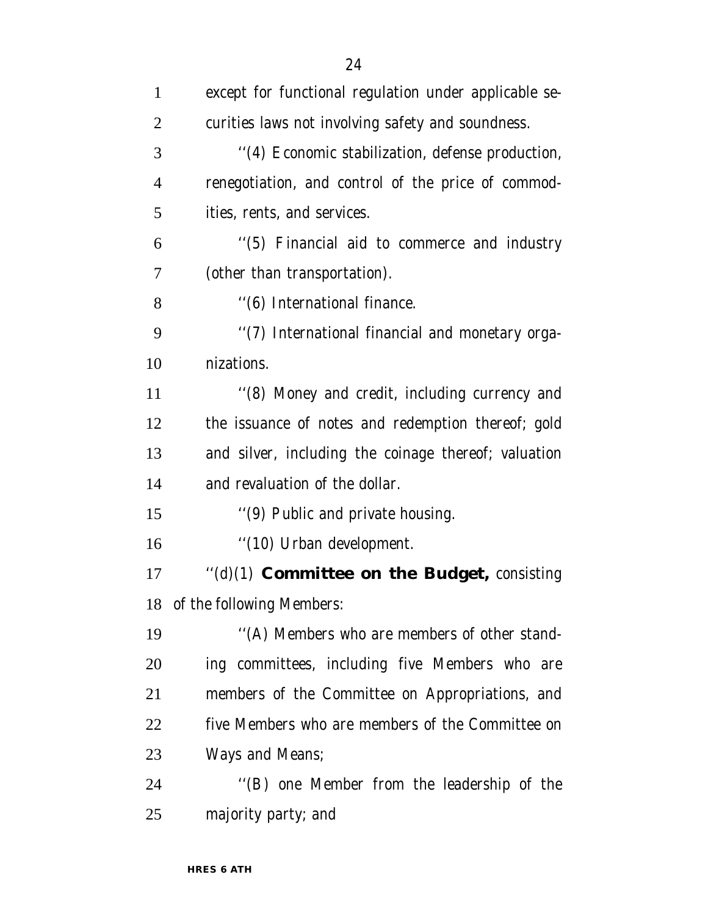| $\mathbf{1}$   | except for functional regulation under applicable se- |
|----------------|-------------------------------------------------------|
| $\overline{2}$ | curities laws not involving safety and soundness.     |
| 3              | "(4) Economic stabilization, defense production,      |
| $\overline{4}$ | renegotiation, and control of the price of commod-    |
| 5              | ities, rents, and services.                           |
| 6              | "(5) Financial aid to commerce and industry           |
| 7              | (other than transportation).                          |
| 8              | "(6) International finance.                           |
| 9              | "(7) International financial and monetary orga-       |
| 10             | nizations.                                            |
| 11             | "(8) Money and credit, including currency and         |
| 12             | the issuance of notes and redemption thereof; gold    |
| 13             | and silver, including the coinage thereof; valuation  |
| 14             | and revaluation of the dollar.                        |
| 15             | "(9) Public and private housing.                      |
| 16             | "(10) Urban development.                              |
| 17             | "(d)(1) Committee on the Budget, consisting           |
| 18             | of the following Members:                             |
| 19             | "(A) Members who are members of other stand-          |
| 20             | ing committees, including five Members who are        |
| 21             | members of the Committee on Appropriations, and       |
| 22             | five Members who are members of the Committee on      |
| 23             | Ways and Means;                                       |
| 24             | "(B) one Member from the leadership of the            |
| 25             | majority party; and                                   |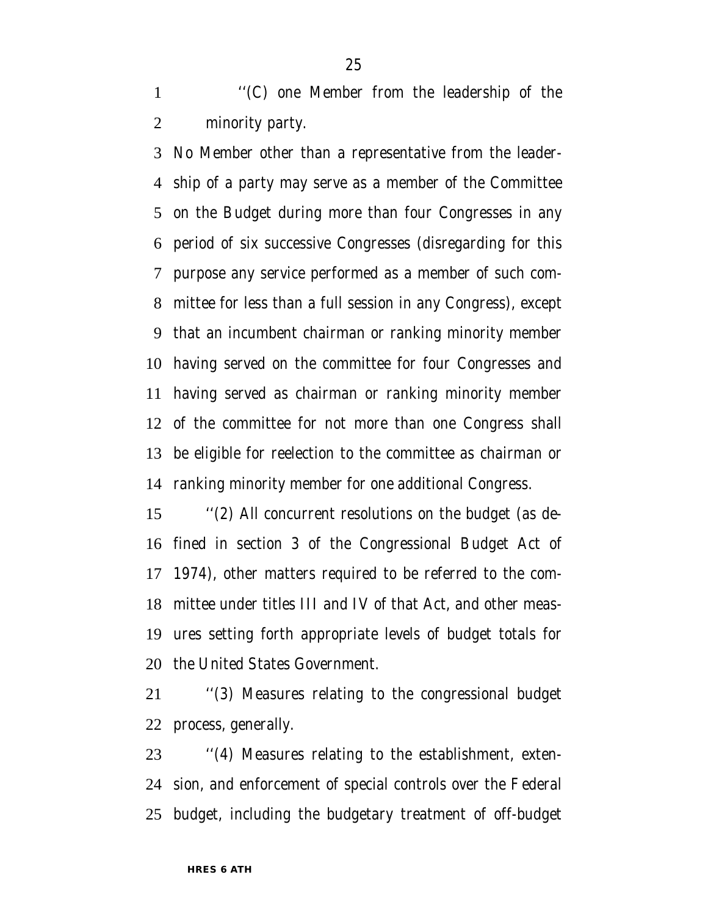''(C) one Member from the leadership of the minority party.

 No Member other than a representative from the leader- ship of a party may serve as a member of the Committee on the Budget during more than four Congresses in any period of six successive Congresses (disregarding for this purpose any service performed as a member of such com- mittee for less than a full session in any Congress), except that an incumbent chairman or ranking minority member having served on the committee for four Congresses and having served as chairman or ranking minority member of the committee for not more than one Congress shall be eligible for reelection to the committee as chairman or ranking minority member for one additional Congress.

 ''(2) All concurrent resolutions on the budget (as de- fined in section 3 of the Congressional Budget Act of 1974), other matters required to be referred to the com- mittee under titles III and IV of that Act, and other meas- ures setting forth appropriate levels of budget totals for the United States Government.

 ''(3) Measures relating to the congressional budget process, generally.

 ''(4) Measures relating to the establishment, exten- sion, and enforcement of special controls over the Federal budget, including the budgetary treatment of off-budget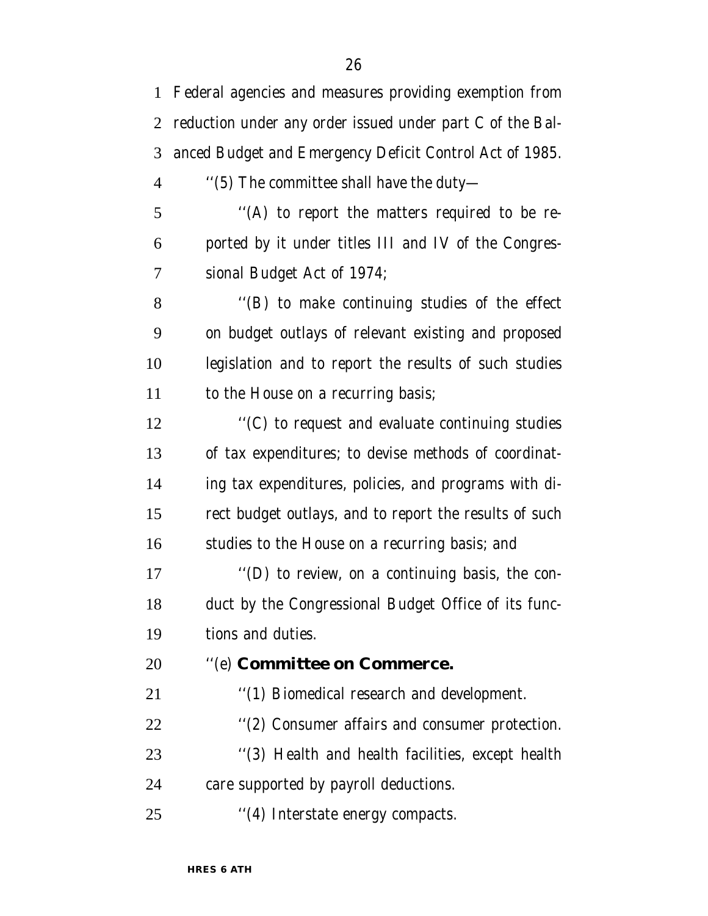Federal agencies and measures providing exemption from reduction under any order issued under part C of the Bal- anced Budget and Emergency Deficit Control Act of 1985. ''(5) The committee shall have the duty— ''(A) to report the matters required to be re- ported by it under titles III and IV of the Congres- sional Budget Act of 1974; ''(B) to make continuing studies of the effect on budget outlays of relevant existing and proposed legislation and to report the results of such studies 11 to the House on a recurring basis;  $\cdot$  ''(C) to request and evaluate continuing studies of tax expenditures; to devise methods of coordinat- ing tax expenditures, policies, and programs with di- rect budget outlays, and to report the results of such studies to the House on a recurring basis; and ''(D) to review, on a continuing basis, the con- duct by the Congressional Budget Office of its func- tions and duties. ''(e) **Committee on Commerce.** 21 ''(1) Biomedical research and development. ''(2) Consumer affairs and consumer protection. ''(3) Health and health facilities, except health care supported by payroll deductions. 25 "(4) Interstate energy compacts.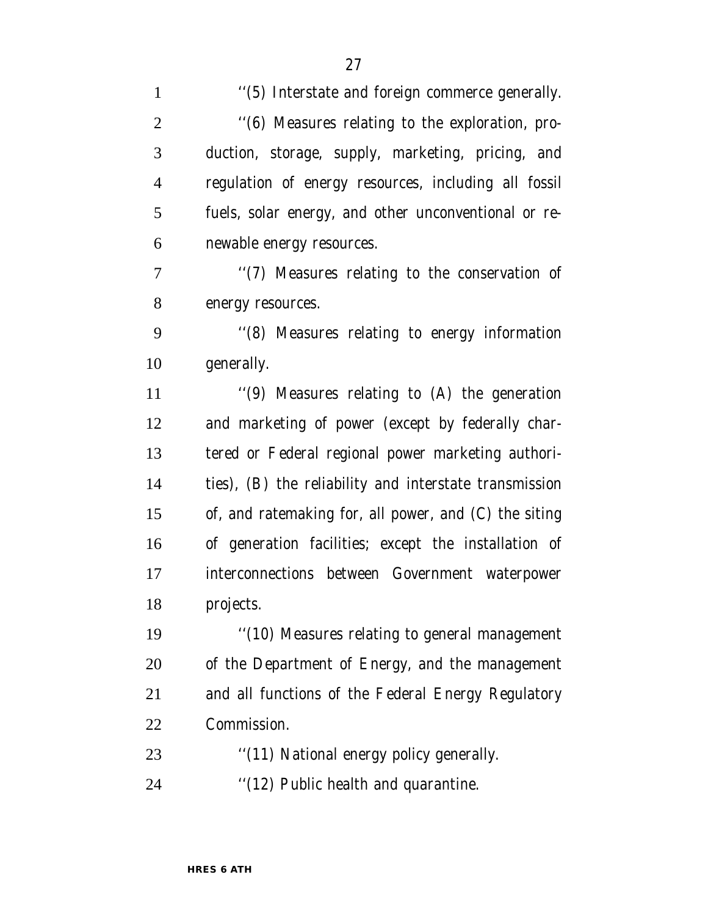| $\mathbf{1}$   | "(5) Interstate and foreign commerce generally.        |
|----------------|--------------------------------------------------------|
| $\overline{2}$ | "(6) Measures relating to the exploration, pro-        |
| 3              | duction, storage, supply, marketing, pricing, and      |
| $\overline{4}$ | regulation of energy resources, including all fossil   |
| 5              | fuels, solar energy, and other unconventional or re-   |
| 6              | newable energy resources.                              |
| 7              | "(7) Measures relating to the conservation of          |
| 8              | energy resources.                                      |
| 9              | "(8) Measures relating to energy information           |
| 10             | generally.                                             |
| 11             | "(9) Measures relating to (A) the generation           |
| 12             | and marketing of power (except by federally char-      |
| 13             | tered or Federal regional power marketing authori-     |
| 14             | ties), (B) the reliability and interstate transmission |
| 15             | of, and ratemaking for, all power, and (C) the siting  |
| 16             | of generation facilities; except the installation of   |
| 17             | interconnections between Government waterpower         |
| 18             | projects.                                              |
| 19             | "(10) Measures relating to general management          |
| 20             | of the Department of Energy, and the management        |
| 21             | and all functions of the Federal Energy Regulatory     |
| 22             | Commission.                                            |
| 23             | "(11) National energy policy generally.                |
| 24             | "(12) Public health and quarantine.                    |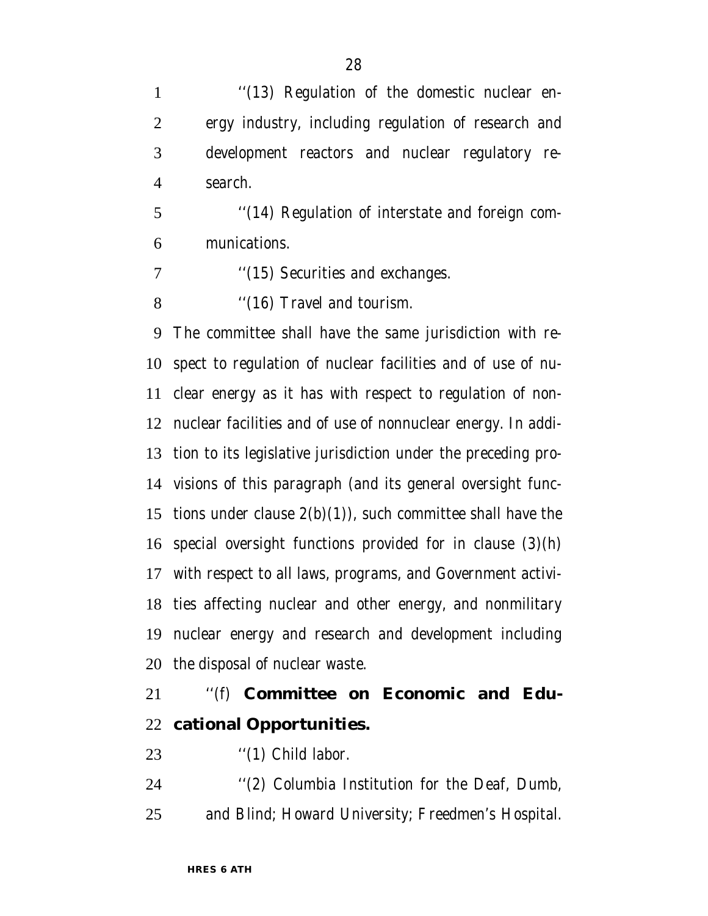1 "(13) Regulation of the domestic nuclear en- ergy industry, including regulation of research and development reactors and nuclear regulatory re-search.

 ''(14) Regulation of interstate and foreign com-munications.

7 ''(15) Securities and exchanges.

8 "(16) Travel and tourism.

 The committee shall have the same jurisdiction with re- spect to regulation of nuclear facilities and of use of nu- clear energy as it has with respect to regulation of non- nuclear facilities and of use of nonnuclear energy. In addi- tion to its legislative jurisdiction under the preceding pro- visions of this paragraph (and its general oversight func-15 tions under clause  $2(b)(1)$ , such committee shall have the special oversight functions provided for in clause (3)(h) with respect to all laws, programs, and Government activi- ties affecting nuclear and other energy, and nonmilitary nuclear energy and research and development including the disposal of nuclear waste.

# ''(f) **Committee on Economic and Edu-cational Opportunities.**

23 "(1) Child labor.

 ''(2) Columbia Institution for the Deaf, Dumb, and Blind; Howard University; Freedmen's Hospital.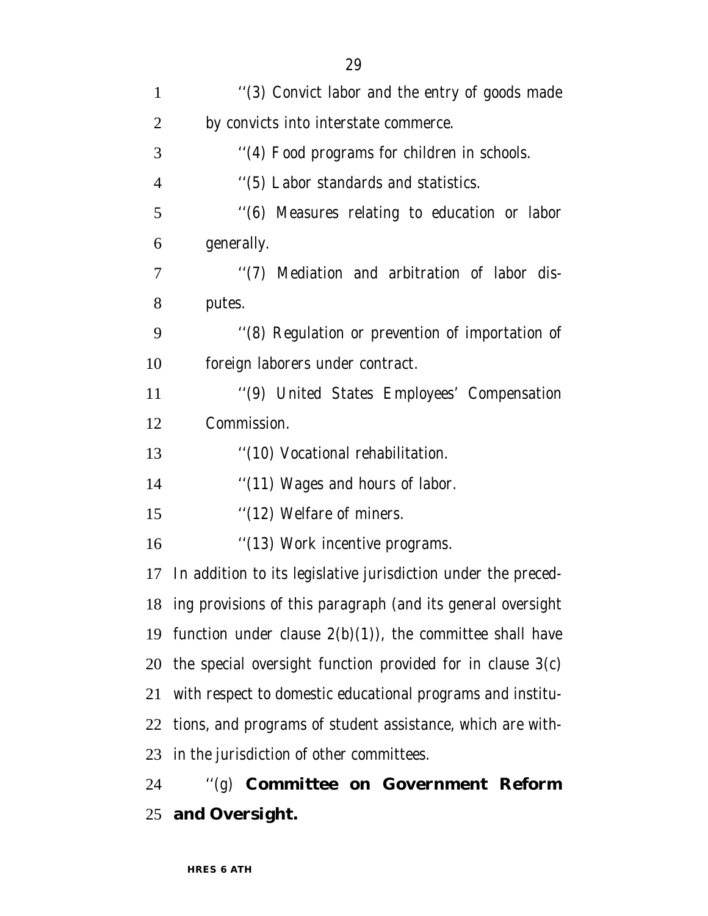| $\mathbf{1}$   | "(3) Convict labor and the entry of goods made                 |
|----------------|----------------------------------------------------------------|
| $\overline{2}$ | by convicts into interstate commerce.                          |
| 3              | "(4) Food programs for children in schools.                    |
| $\overline{4}$ | "(5) Labor standards and statistics.                           |
| 5              | "(6) Measures relating to education or labor                   |
| 6              | generally.                                                     |
| $\overline{7}$ | "(7) Mediation and arbitration of labor dis-                   |
| 8              | putes.                                                         |
| 9              | "(8) Regulation or prevention of importation of                |
| 10             | foreign laborers under contract.                               |
| 11             | "(9) United States Employees' Compensation                     |
| 12             | Commission.                                                    |
| 13             | "(10) Vocational rehabilitation.                               |
| 14             | "(11) Wages and hours of labor.                                |
| 15             | "(12) Welfare of miners.                                       |
| 16             | "(13) Work incentive programs.                                 |
| 17             | In addition to its legislative jurisdiction under the preced-  |
|                | 18 ing provisions of this paragraph (and its general oversight |
|                | 19 function under clause $2(b)(1)$ , the committee shall have  |
|                | 20 the special oversight function provided for in clause 3(c)  |
| 21             | with respect to domestic educational programs and institu-     |
| 22             | tions, and programs of student assistance, which are with-     |
|                | 23 in the jurisdiction of other committees.                    |
| 24             | "(g) Committee on Government Reform                            |

# **and Oversight.**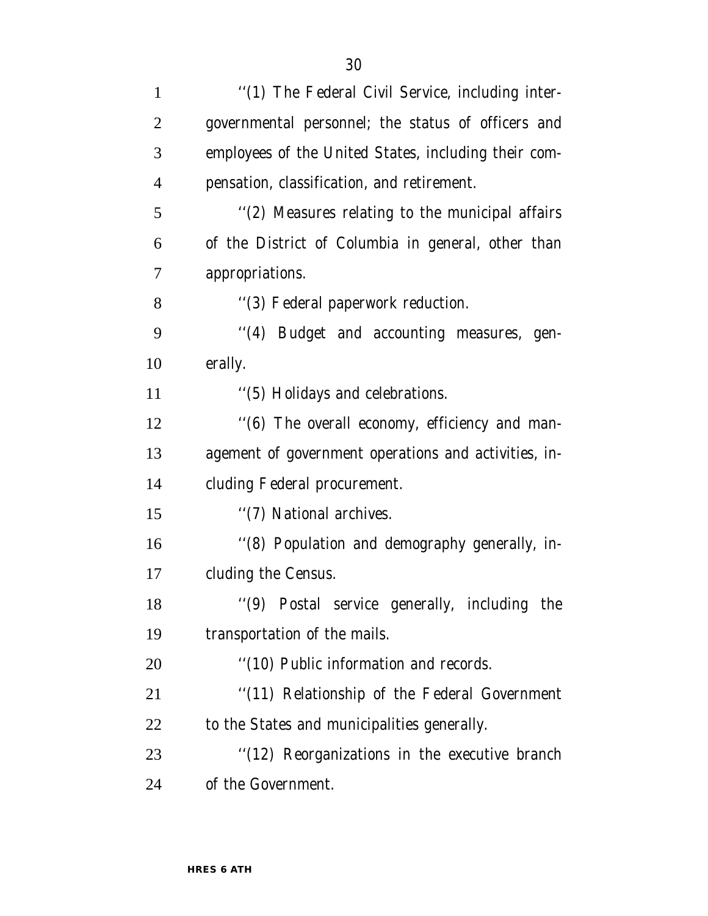| $\mathbf{1}$   | "(1) The Federal Civil Service, including inter-     |
|----------------|------------------------------------------------------|
| $\overline{2}$ | governmental personnel; the status of officers and   |
| 3              | employees of the United States, including their com- |
| $\overline{4}$ | pensation, classification, and retirement.           |
| 5              | "(2) Measures relating to the municipal affairs      |
| 6              | of the District of Columbia in general, other than   |
| 7              | appropriations.                                      |
| 8              | "(3) Federal paperwork reduction.                    |
| 9              | "(4) Budget and accounting measures, gen-            |
| 10             | erally.                                              |
| 11             | "(5) Holidays and celebrations.                      |
| 12             | "(6) The overall economy, efficiency and man-        |
| 13             | agement of government operations and activities, in- |
| 14             | cluding Federal procurement.                         |
| 15             | "(7) National archives.                              |
| 16             | "(8) Population and demography generally, in-        |
| 17             | cluding the Census.                                  |
| 18             | "(9) Postal service generally, including the         |
| 19             | transportation of the mails.                         |
| 20             | "(10) Public information and records.                |
| 21             | "(11) Relationship of the Federal Government         |
| 22             | to the States and municipalities generally.          |
| 23             | "(12) Reorganizations in the executive branch        |
| 24             | of the Government.                                   |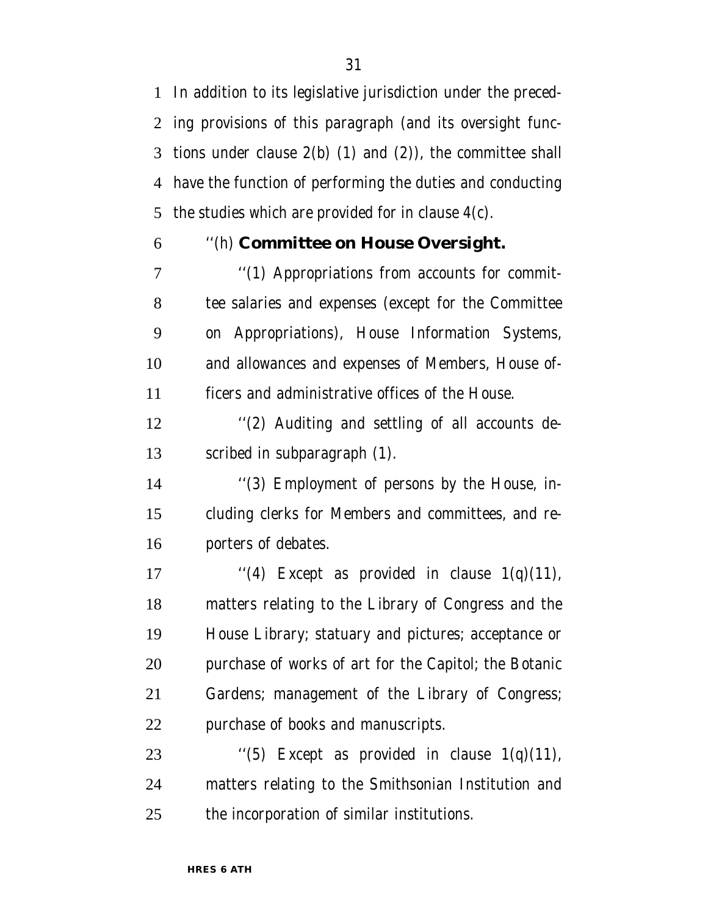In addition to its legislative jurisdiction under the preced- ing provisions of this paragraph (and its oversight func- tions under clause 2(b) (1) and (2)), the committee shall have the function of performing the duties and conducting the studies which are provided for in clause 4(c).

### ''(h) **Committee on House Oversight.**

 $\gamma$  (1) Appropriations from accounts for commit- tee salaries and expenses (except for the Committee on Appropriations), House Information Systems, and allowances and expenses of Members, House of-ficers and administrative offices of the House.

 ''(2) Auditing and settling of all accounts de-scribed in subparagraph (1).

 ''(3) Employment of persons by the House, in- cluding clerks for Members and committees, and re-porters of debates.

 $\ddots$  (4) Except as provided in clause 1(q)(11), matters relating to the Library of Congress and the House Library; statuary and pictures; acceptance or purchase of works of art for the Capitol; the Botanic Gardens; management of the Library of Congress; purchase of books and manuscripts.

23  $\qquad$  ''(5) Except as provided in clause 1(q)(11), matters relating to the Smithsonian Institution and the incorporation of similar institutions.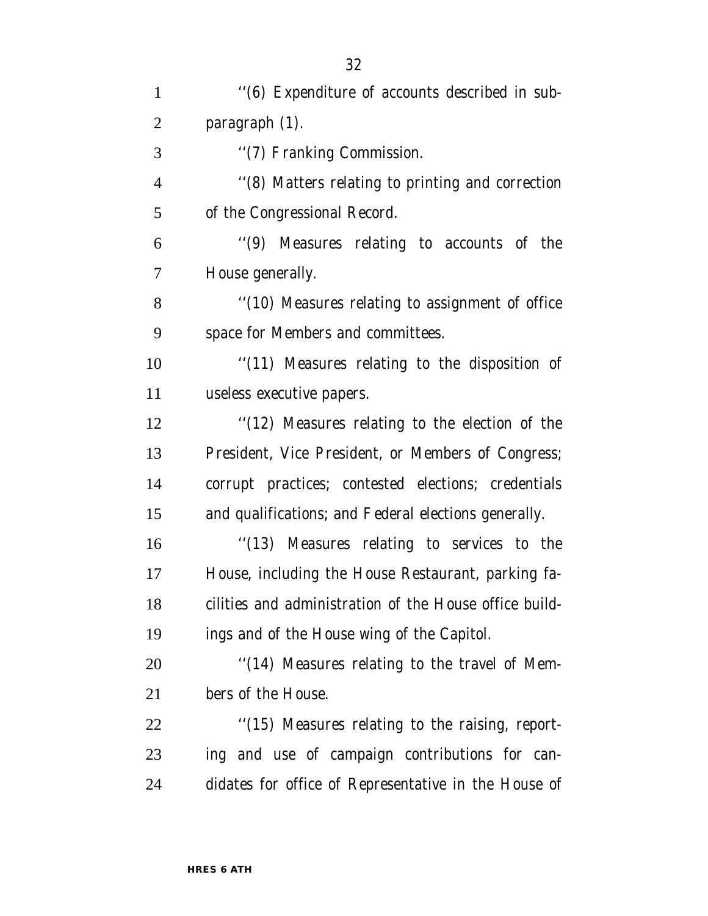| $\mathbf{1}$   | "(6) Expenditure of accounts described in sub-         |
|----------------|--------------------------------------------------------|
| $\overline{2}$ | paragraph $(1)$ .                                      |
| 3              | "(7) Franking Commission.                              |
| $\overline{4}$ | "(8) Matters relating to printing and correction       |
| 5              | of the Congressional Record.                           |
| 6              | "(9) Measures relating to accounts of the              |
| 7              | House generally.                                       |
| 8              | "(10) Measures relating to assignment of office        |
| 9              | space for Members and committees.                      |
| 10             | "(11) Measures relating to the disposition of          |
| 11             | useless executive papers.                              |
| 12             | "(12) Measures relating to the election of the         |
| 13             | President, Vice President, or Members of Congress;     |
| 14             | corrupt practices; contested elections; credentials    |
| 15             | and qualifications; and Federal elections generally.   |
| 16             | "(13) Measures relating to services to the             |
| 17             | House, including the House Restaurant, parking fa-     |
| 18             | cilities and administration of the House office build- |
| 19             | ings and of the House wing of the Capitol.             |
| <b>20</b>      | "(14) Measures relating to the travel of Mem-          |
| 21             | bers of the House.                                     |
| <u>22</u>      | "(15) Measures relating to the raising, report-        |
| 23             | ing and use of campaign contributions for can-         |
| 24             | didates for office of Representative in the House of   |
|                |                                                        |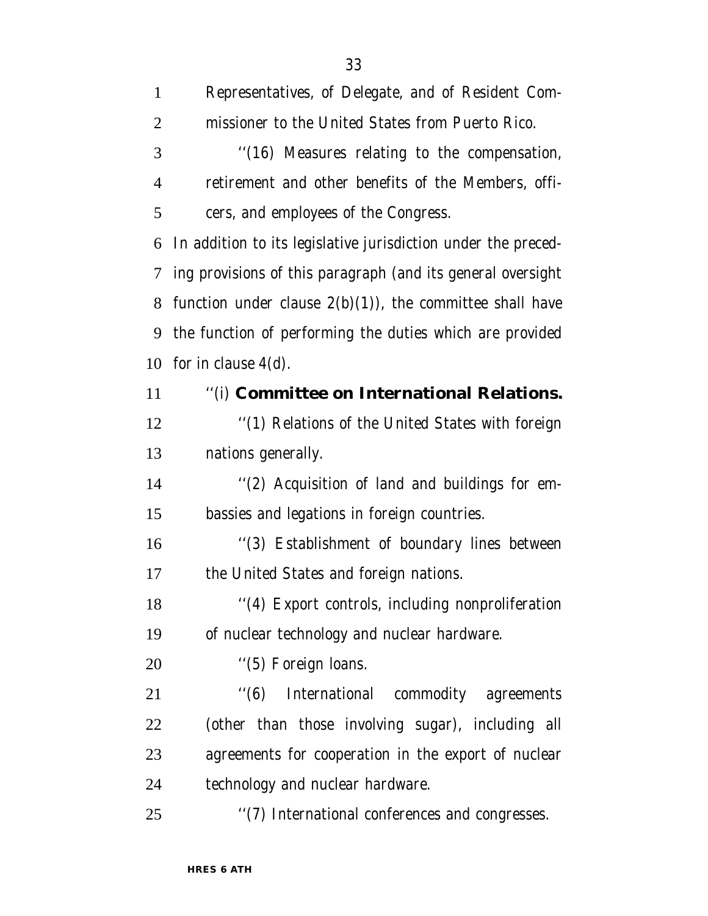| $\mathbf{1}$   | Representatives, of Delegate, and of Resident Com-            |
|----------------|---------------------------------------------------------------|
| $\overline{2}$ | missioner to the United States from Puerto Rico.              |
| 3              | "(16) Measures relating to the compensation,                  |
| $\overline{4}$ | retirement and other benefits of the Members, offi-           |
| 5              | cers, and employees of the Congress.                          |
| 6              | In addition to its legislative jurisdiction under the preced- |
| 7              | ing provisions of this paragraph (and its general oversight   |
| 8              | function under clause $2(b)(1)$ , the committee shall have    |
| 9              | the function of performing the duties which are provided      |
| 10             | for in clause $4(d)$ .                                        |
| 11             | "(i) Committee on International Relations.                    |
| 12             | "(1) Relations of the United States with foreign              |
| 13             | nations generally.                                            |
| 14             | "(2) Acquisition of land and buildings for em-                |
| 15             | bassies and legations in foreign countries.                   |
| 16             | "(3) Establishment of boundary lines between                  |
| 17             | the United States and foreign nations.                        |
| 18             | "(4) Export controls, including nonproliferation              |
| 19             | of nuclear technology and nuclear hardware.                   |
| 20             | "(5) Foreign loans.                                           |
| 21             | $\cdot$ (6)<br>International commodity agreements             |
| 22             | (other than those involving sugar), including all             |
| 23             | agreements for cooperation in the export of nuclear           |
| 24             | technology and nuclear hardware.                              |
| 25             | "(7) International conferences and congresses.                |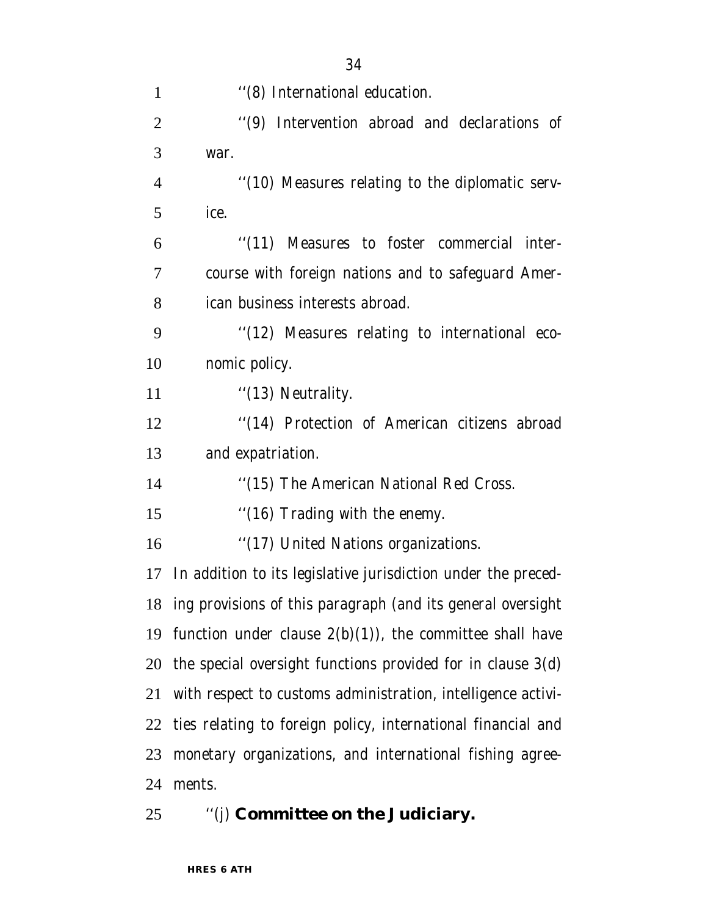| 1              | "(8) International education.                                   |
|----------------|-----------------------------------------------------------------|
| $\overline{2}$ | "(9) Intervention abroad and declarations of                    |
| 3              | war.                                                            |
| $\overline{4}$ | "(10) Measures relating to the diplomatic serv-                 |
| 5              | ice.                                                            |
| 6              | "(11) Measures to foster commercial inter-                      |
| $\overline{7}$ | course with foreign nations and to safeguard Amer-              |
| 8              | ican business interests abroad.                                 |
| 9              | "(12) Measures relating to international eco-                   |
| 10             | nomic policy.                                                   |
| 11             | " $(13)$ Neutrality.                                            |
| 12             | "(14) Protection of American citizens abroad                    |
| 13             | and expatriation.                                               |
| 14             | "(15) The American National Red Cross.                          |
| 15             | "(16) Trading with the enemy.                                   |
| 16             | "(17) United Nations organizations.                             |
| 17             | In addition to its legislative jurisdiction under the preced-   |
|                | 18 ing provisions of this paragraph (and its general oversight  |
|                | 19 function under clause $2(b)(1)$ , the committee shall have   |
|                | 20 the special oversight functions provided for in clause 3(d)  |
| 21             | with respect to customs administration, intelligence activi-    |
|                | 22 ties relating to foreign policy, international financial and |
| 23             | monetary organizations, and international fishing agree-        |
| 24             | ments.                                                          |
|                |                                                                 |

''(j) **Committee on the Judiciary.**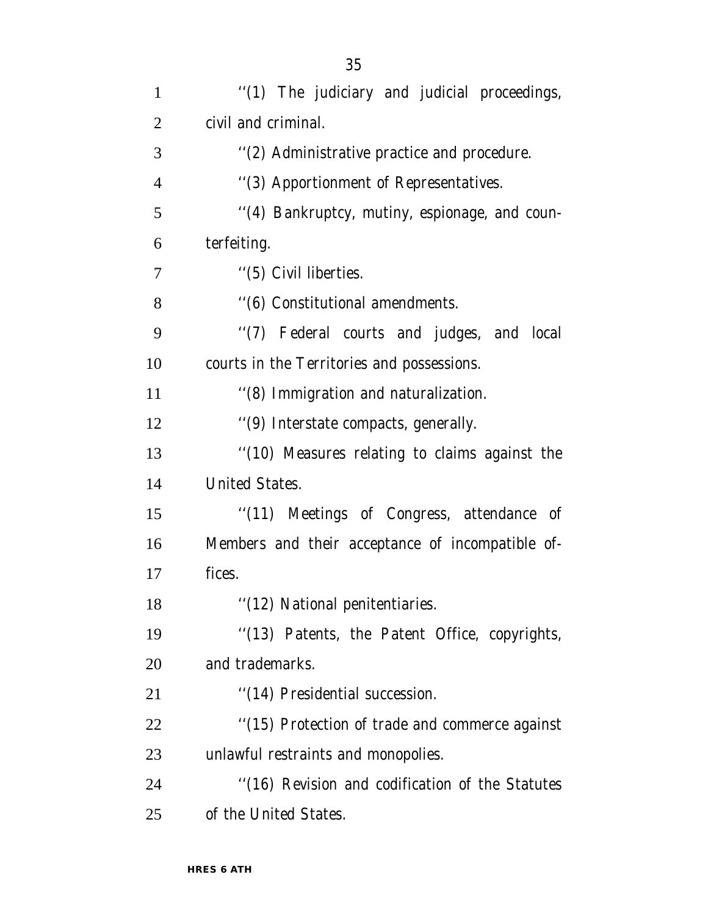| $\mathbf{1}$   | "(1) The judiciary and judicial proceedings,     |
|----------------|--------------------------------------------------|
| $\overline{2}$ | civil and criminal.                              |
| 3              | "(2) Administrative practice and procedure.      |
| $\overline{4}$ | "(3) Apportionment of Representatives.           |
| 5              | "(4) Bankruptcy, mutiny, espionage, and coun-    |
| 6              | terfeiting.                                      |
| 7              | "(5) Civil liberties.                            |
| 8              | "(6) Constitutional amendments.                  |
| 9              | "(7) Federal courts and judges, and local        |
| 10             | courts in the Territories and possessions.       |
| 11             | "(8) Immigration and naturalization.             |
| 12             | "(9) Interstate compacts, generally.             |
| 13             | "(10) Measures relating to claims against the    |
| 14             | <b>United States.</b>                            |
| 15             | "(11) Meetings of Congress, attendance of        |
| 16             | Members and their acceptance of incompatible of- |
| 17             | fices.                                           |
| 18             | "(12) National penitentiaries.                   |
| 19             | "(13) Patents, the Patent Office, copyrights,    |
| 20             | and trademarks.                                  |
| 21             | "(14) Presidential succession.                   |
| 22             | "(15) Protection of trade and commerce against   |
| 23             | unlawful restraints and monopolies.              |
| 24             | "(16) Revision and codification of the Statutes  |
| 25             | of the United States.                            |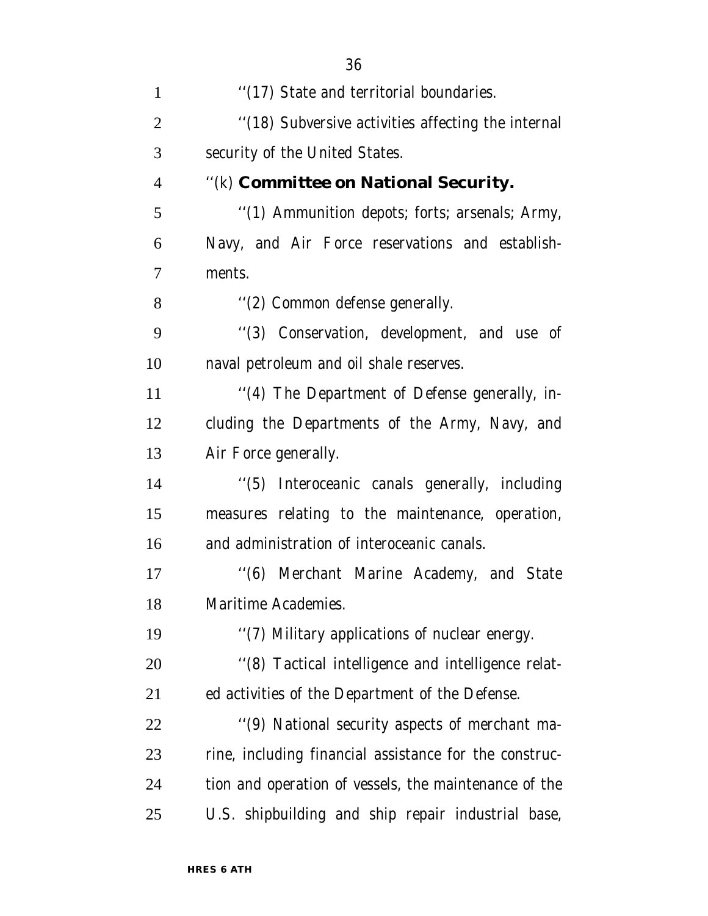| $\mathbf{1}$   | "(17) State and territorial boundaries.                |
|----------------|--------------------------------------------------------|
| $\overline{2}$ | "(18) Subversive activities affecting the internal     |
| 3              | security of the United States.                         |
| $\overline{4}$ | "(k) Committee on National Security.                   |
| 5              | "(1) Ammunition depots; forts; arsenals; Army,         |
| 6              | Navy, and Air Force reservations and establish-        |
| $\overline{7}$ | ments.                                                 |
| 8              | "(2) Common defense generally.                         |
| 9              | "(3) Conservation, development, and use of             |
| 10             | naval petroleum and oil shale reserves.                |
| 11             | "(4) The Department of Defense generally, in-          |
| 12             | cluding the Departments of the Army, Navy, and         |
| 13             | Air Force generally.                                   |
| 14             | "(5) Interoceanic canals generally, including          |
| 15             | measures relating to the maintenance, operation,       |
| 16             | and administration of interoceanic canals.             |
| 17             | "(6) Merchant Marine Academy, and State                |
| 18             | Maritime Academies.                                    |
| 19             | "(7) Military applications of nuclear energy.          |
| 20             | "(8) Tactical intelligence and intelligence relat-     |
| 21             | ed activities of the Department of the Defense.        |
| 22             | "(9) National security aspects of merchant ma-         |
| 23             | rine, including financial assistance for the construc- |
| 24             | tion and operation of vessels, the maintenance of the  |
| 25             | U.S. shipbuilding and ship repair industrial base,     |
|                |                                                        |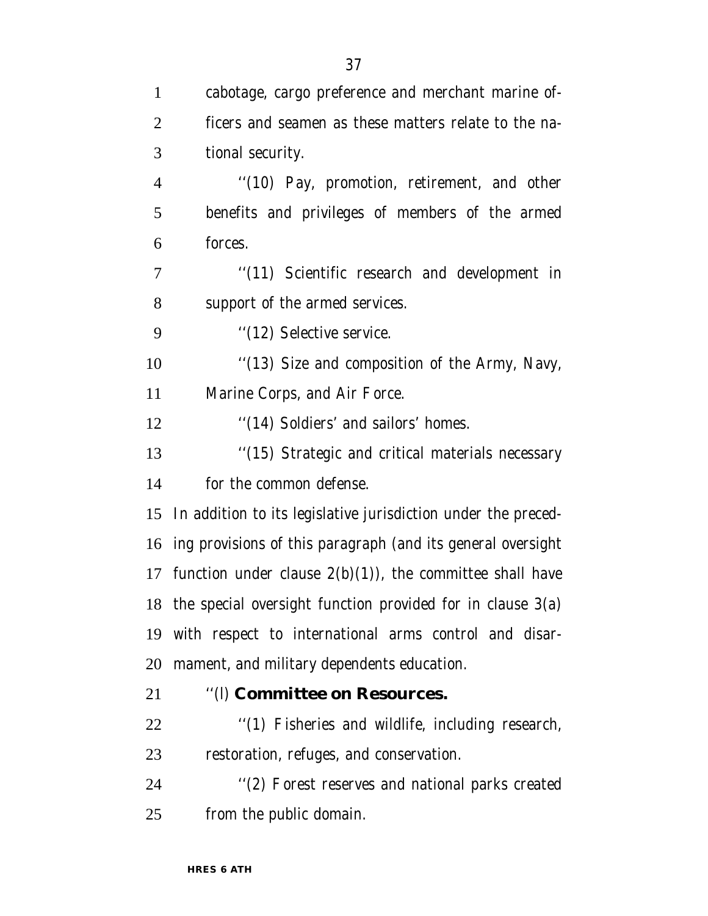| $\mathbf{1}$   | cabotage, cargo preference and merchant marine of-              |
|----------------|-----------------------------------------------------------------|
| $\overline{2}$ | ficers and seamen as these matters relate to the na-            |
| 3              | tional security.                                                |
| $\overline{4}$ | "(10) Pay, promotion, retirement, and other                     |
| 5              | benefits and privileges of members of the armed                 |
| 6              | forces.                                                         |
| 7              | "(11) Scientific research and development in                    |
| 8              | support of the armed services.                                  |
| 9              | "(12) Selective service.                                        |
| 10             | "(13) Size and composition of the Army, Navy,                   |
| 11             | Marine Corps, and Air Force.                                    |
| 12             | "(14) Soldiers' and sailors' homes.                             |
| 13             | "(15) Strategic and critical materials necessary                |
| 14             | for the common defense.                                         |
| 15             | In addition to its legislative jurisdiction under the preced-   |
|                | 16 ing provisions of this paragraph (and its general oversight  |
|                | 17 function under clause $2(b)(1)$ , the committee shall have   |
|                | 18 the special oversight function provided for in clause $3(a)$ |
| 19             | with respect to international arms control and disar-           |
| 20             | mament, and military dependents education.                      |
| 21             | "(I) Committee on Resources.                                    |
| 22             | "(1) Fisheries and wildlife, including research,                |
| 23             | restoration, refuges, and conservation.                         |
| 24             | "(2) Forest reserves and national parks created                 |
| 25             | from the public domain.                                         |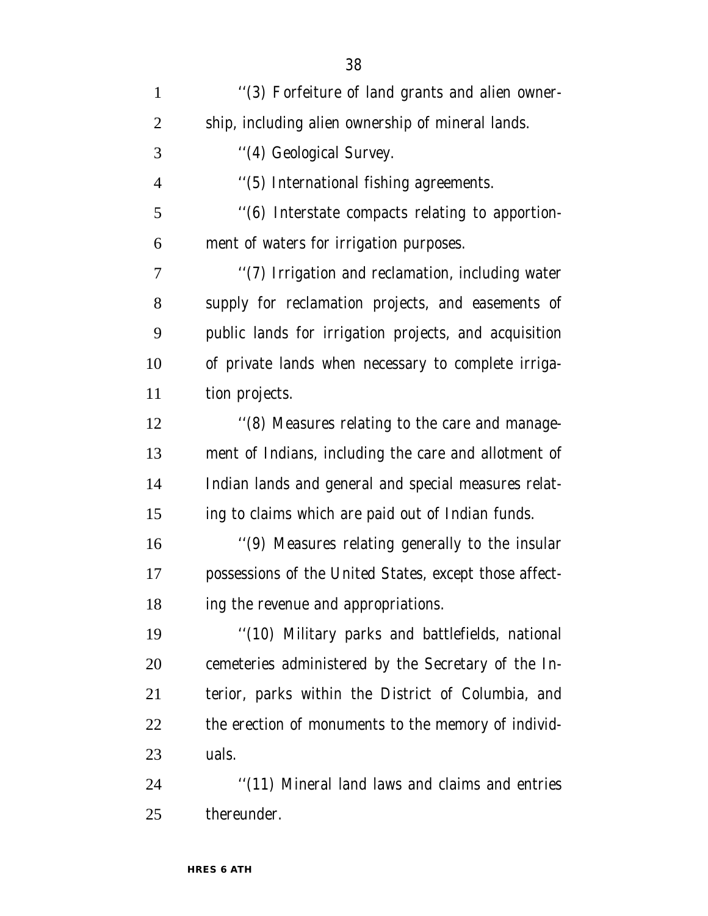| $\mathbf{1}$   | "(3) Forfeiture of land grants and alien owner-        |
|----------------|--------------------------------------------------------|
| $\overline{2}$ | ship, including alien ownership of mineral lands.      |
| 3              | "(4) Geological Survey.                                |
| $\overline{4}$ | "(5) International fishing agreements.                 |
| 5              | "(6) Interstate compacts relating to apportion-        |
| 6              | ment of waters for irrigation purposes.                |
| $\overline{7}$ | "(7) Irrigation and reclamation, including water       |
| 8              | supply for reclamation projects, and easements of      |
| 9              | public lands for irrigation projects, and acquisition  |
| 10             | of private lands when necessary to complete irriga-    |
| 11             | tion projects.                                         |
| 12             | "(8) Measures relating to the care and manage-         |
| 13             | ment of Indians, including the care and allotment of   |
| 14             | Indian lands and general and special measures relat-   |
| 15             | ing to claims which are paid out of Indian funds.      |
| 16             | "(9) Measures relating generally to the insular        |
| 17             | possessions of the United States, except those affect- |
| 18             | ing the revenue and appropriations.                    |
| 19             | "(10) Military parks and battlefields, national        |
| 20             | cemeteries administered by the Secretary of the In-    |
| 21             | terior, parks within the District of Columbia, and     |
| 22             | the erection of monuments to the memory of individ-    |
| 23             | uals.                                                  |
| 24             | "(11) Mineral land laws and claims and entries         |
| 25             | thereunder.                                            |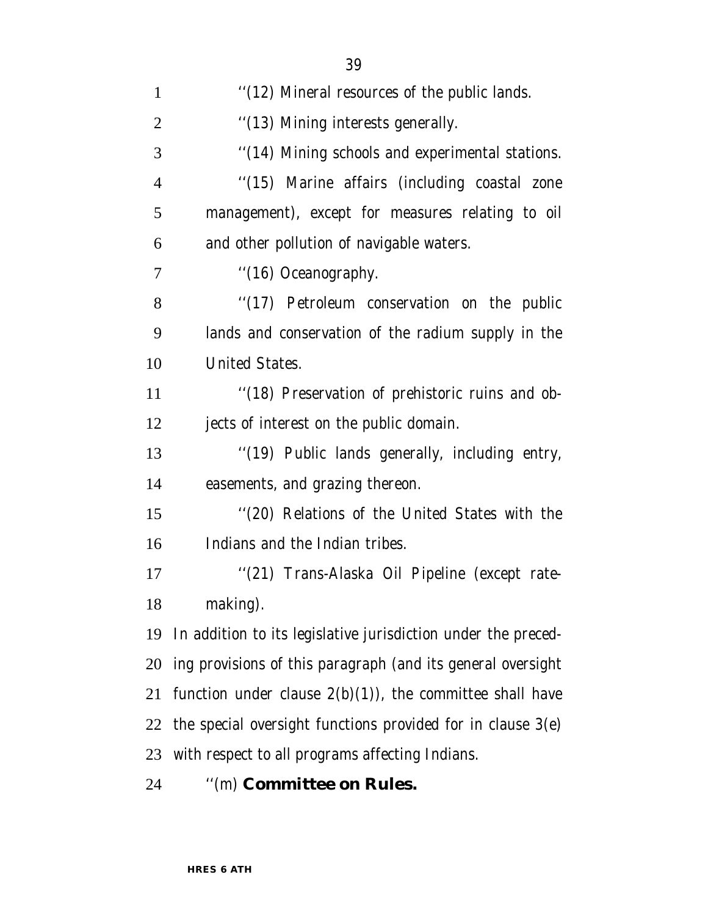| $\mathbf{1}$   | "(12) Mineral resources of the public lands.                  |
|----------------|---------------------------------------------------------------|
| $\overline{2}$ | "(13) Mining interests generally.                             |
| 3              | "(14) Mining schools and experimental stations.               |
| $\overline{4}$ | "(15) Marine affairs (including coastal zone                  |
| 5              | management), except for measures relating to oil              |
| 6              | and other pollution of navigable waters.                      |
| 7              | "(16) Oceanography.                                           |
| 8              | "(17) Petroleum conservation on the public                    |
| 9              | lands and conservation of the radium supply in the            |
| 10             | <b>United States.</b>                                         |
| 11             | "(18) Preservation of prehistoric ruins and ob-               |
| 12             | jects of interest on the public domain.                       |
| 13             | "(19) Public lands generally, including entry,                |
| 14             | easements, and grazing thereon.                               |
| 15             | "(20) Relations of the United States with the                 |
| 16             | Indians and the Indian tribes.                                |
| 17             | "(21) Trans-Alaska Oil Pipeline (except rate-                 |
| 18             | making).                                                      |
| 19             | In addition to its legislative jurisdiction under the preced- |
| 20             | ing provisions of this paragraph (and its general oversight   |
| 21             | function under clause $2(b)(1)$ , the committee shall have    |
| 22             | the special oversight functions provided for in clause 3(e)   |
| 23             | with respect to all programs affecting Indians.               |
|                |                                                               |

''(m) **Committee on Rules.**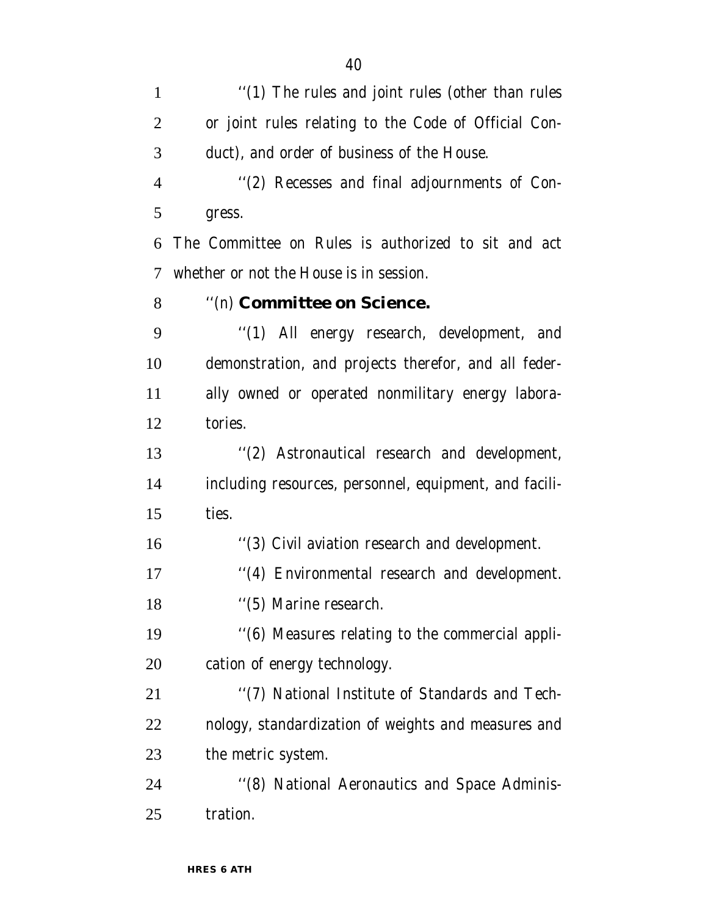1 "(1) The rules and joint rules (other than rules or joint rules relating to the Code of Official Con- duct), and order of business of the House. ''(2) Recesses and final adjournments of Con- gress. The Committee on Rules is authorized to sit and act whether or not the House is in session. ''(n) **Committee on Science.** ''(1) All energy research, development, and demonstration, and projects therefor, and all feder- ally owned or operated nonmilitary energy labora- tories. ''(2) Astronautical research and development, including resources, personnel, equipment, and facili- ties. ''(3) Civil aviation research and development. 17 "(4) Environmental research and development. 18 ''(5) Marine research. ''(6) Measures relating to the commercial appli- cation of energy technology. ''(7) National Institute of Standards and Tech- nology, standardization of weights and measures and the metric system. ''(8) National Aeronautics and Space Adminis-tration.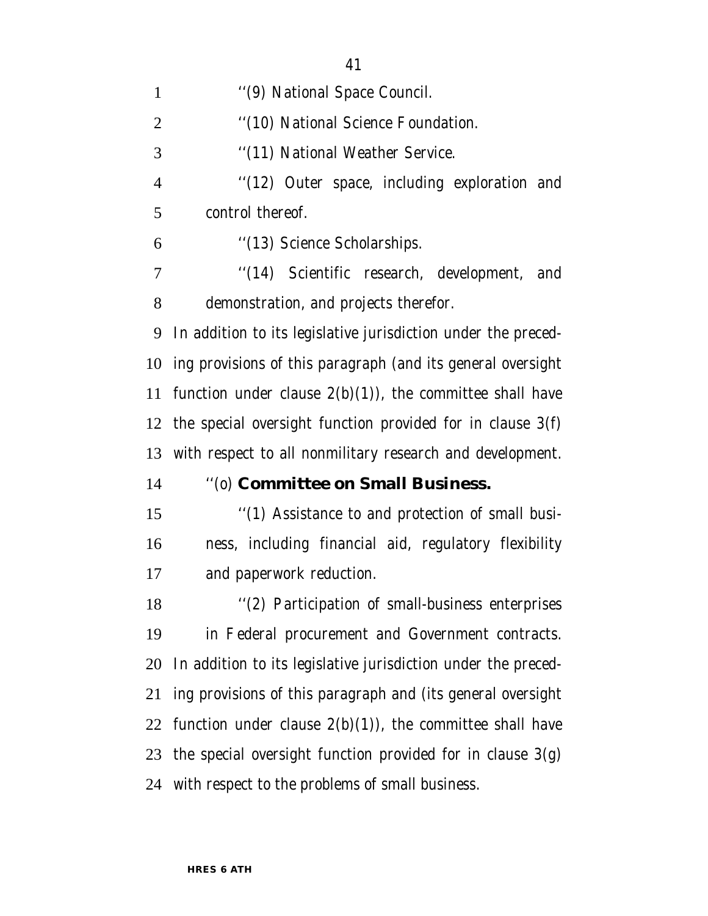| $\mathbf{1}$   | "(9) National Space Council.                                  |
|----------------|---------------------------------------------------------------|
| $\overline{2}$ | "(10) National Science Foundation.                            |
| 3              | "(11) National Weather Service.                               |
| $\overline{4}$ | "(12) Outer space, including exploration and                  |
| 5              | control thereof.                                              |
| 6              | "(13) Science Scholarships.                                   |
| 7              | "(14) Scientific research, development, and                   |
| 8              | demonstration, and projects therefor.                         |
| 9              | In addition to its legislative jurisdiction under the preced- |
| 10             | ing provisions of this paragraph (and its general oversight   |
| 11             | function under clause $2(b)(1)$ , the committee shall have    |
|                | 12 the special oversight function provided for in clause 3(f) |
| 13             | with respect to all nonmilitary research and development.     |
| 14             | "(0) Committee on Small Business.                             |
| 15             | "(1) Assistance to and protection of small busi-              |
| 16             | ness, including financial aid, regulatory flexibility         |
| 17             | and paperwork reduction.                                      |
| 18             | "(2) Participation of small-business enterprises              |
| 19             | in Federal procurement and Government contracts.              |
| 20             | In addition to its legislative jurisdiction under the preced- |
| 21             | ing provisions of this paragraph and (its general oversight   |
| 22             | function under clause $2(b)(1)$ , the committee shall have    |
|                | 23 the special oversight function provided for in clause 3(g) |
|                | 24 with respect to the problems of small business.            |
|                |                                                               |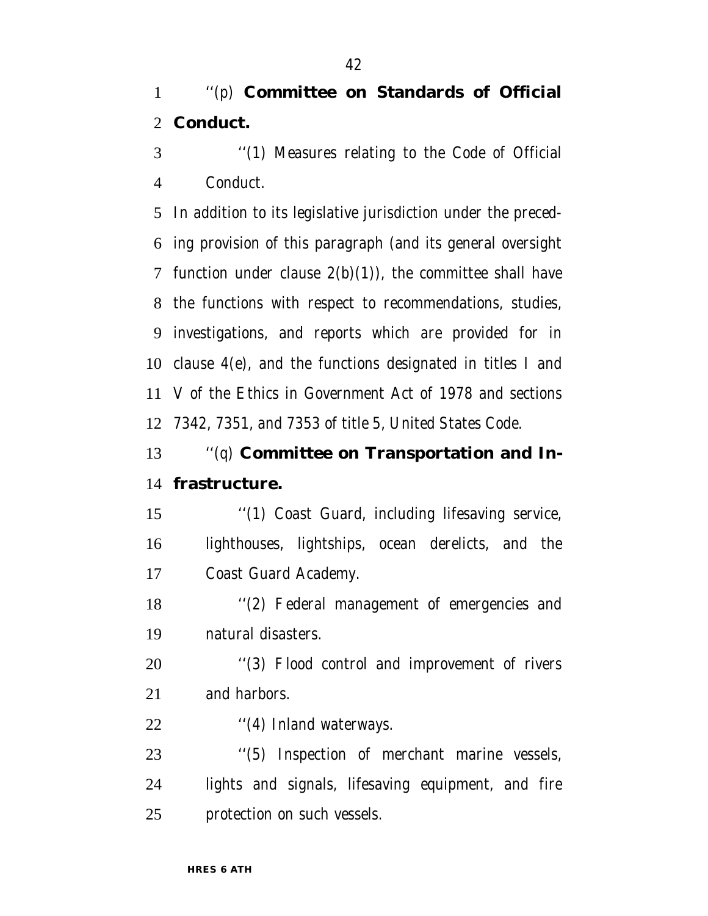# ''(p) **Committee on Standards of Official Conduct.**

 ''(1) Measures relating to the Code of Official Conduct.

 In addition to its legislative jurisdiction under the preced- ing provision of this paragraph (and its general oversight 7 function under clause  $2(b)(1)$ , the committee shall have the functions with respect to recommendations, studies, investigations, and reports which are provided for in clause 4(e), and the functions designated in titles I and V of the Ethics in Government Act of 1978 and sections 7342, 7351, and 7353 of title 5, United States Code.

# ''(q) **Committee on Transportation and In-frastructure.**

 ''(1) Coast Guard, including lifesaving service, lighthouses, lightships, ocean derelicts, and the Coast Guard Academy.

 ''(2) Federal management of emergencies and natural disasters.

20 "(3) Flood control and improvement of rivers and harbors.

22 "(4) Inland waterways.

 ''(5) Inspection of merchant marine vessels, lights and signals, lifesaving equipment, and fire protection on such vessels.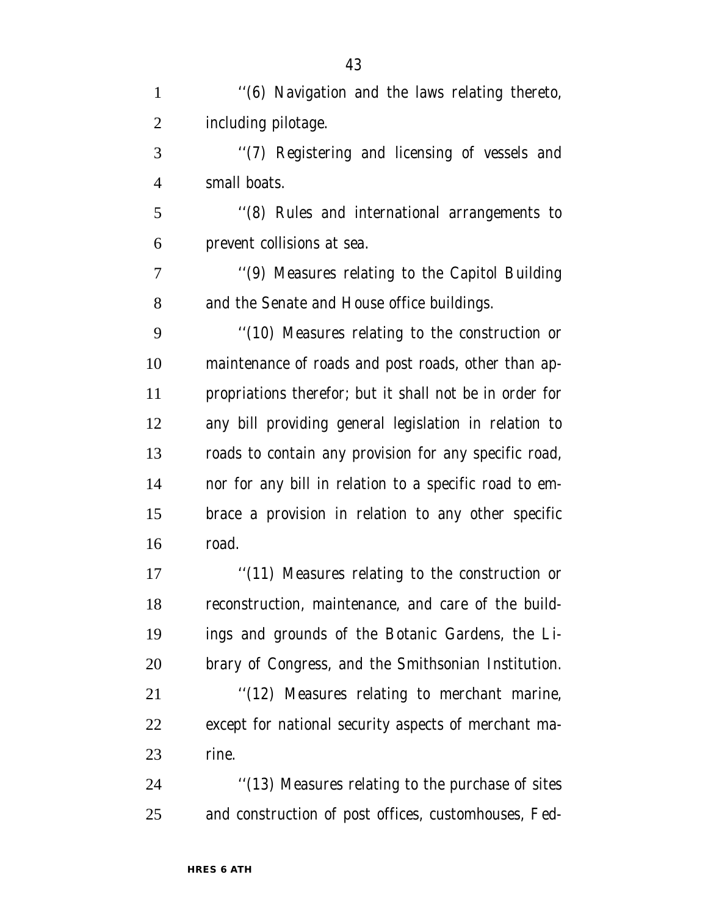1 "(6) Navigation and the laws relating thereto, including pilotage. ''(7) Registering and licensing of vessels and small boats. ''(8) Rules and international arrangements to prevent collisions at sea. ''(9) Measures relating to the Capitol Building and the Senate and House office buildings. ''(10) Measures relating to the construction or maintenance of roads and post roads, other than ap- propriations therefor; but it shall not be in order for any bill providing general legislation in relation to roads to contain any provision for any specific road, nor for any bill in relation to a specific road to em- brace a provision in relation to any other specific road. 17 ''(11) Measures relating to the construction or reconstruction, maintenance, and care of the build- ings and grounds of the Botanic Gardens, the Li- brary of Congress, and the Smithsonian Institution. 21 ''(12) Measures relating to merchant marine, except for national security aspects of merchant ma-rine.

 ''(13) Measures relating to the purchase of sites and construction of post offices, customhouses, Fed-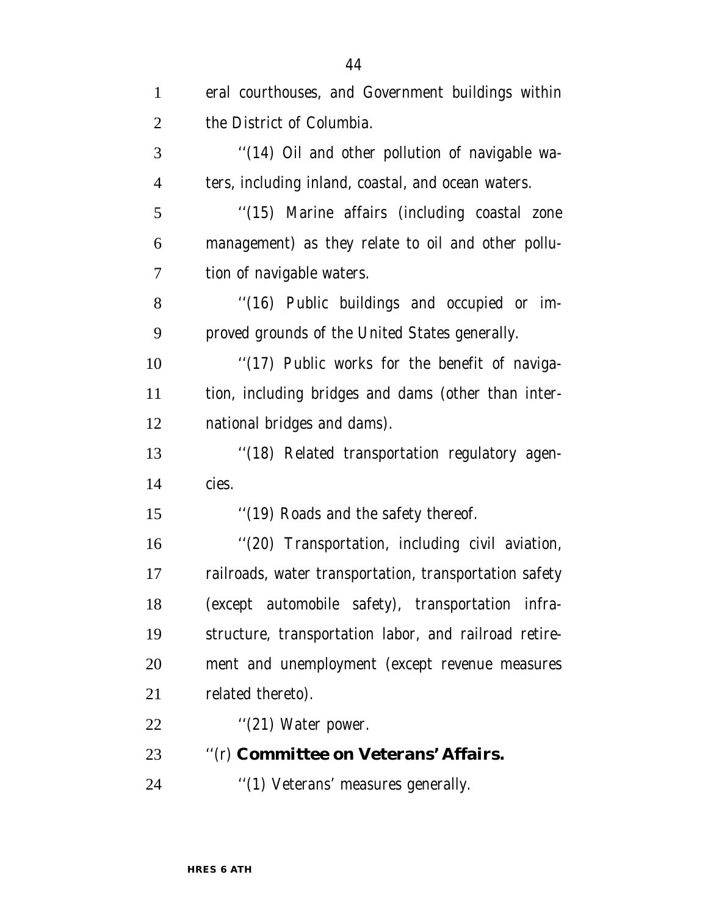| $\mathbf{1}$   | eral courthouses, and Government buildings within      |
|----------------|--------------------------------------------------------|
| $\overline{2}$ | the District of Columbia.                              |
| 3              | "(14) Oil and other pollution of navigable wa-         |
| $\overline{4}$ | ters, including inland, coastal, and ocean waters.     |
| 5              | "(15) Marine affairs (including coastal zone           |
| 6              | management) as they relate to oil and other pollu-     |
| $\overline{7}$ | tion of navigable waters.                              |
| 8              | "(16) Public buildings and occupied or im-             |
| 9              | proved grounds of the United States generally.         |
| 10             | "(17) Public works for the benefit of naviga-          |
| 11             | tion, including bridges and dams (other than inter-    |
| 12             | national bridges and dams).                            |
| 13             | "(18) Related transportation regulatory agen-          |
| 14             | cies.                                                  |
| 15             | "(19) Roads and the safety thereof.                    |
| 16             | "(20) Transportation, including civil aviation,        |
| 17             | railroads, water transportation, transportation safety |
| 18             | (except automobile safety), transportation infra-      |
| 19             | structure, transportation labor, and railroad retire-  |
| 20             | ment and unemployment (except revenue measures         |
| 21             | related thereto).                                      |
| 22             | " $(21)$ Water power.                                  |
| 23             | "(r) Committee on Veterans' Affairs.                   |
| 24             | "(1) Veterans' measures generally.                     |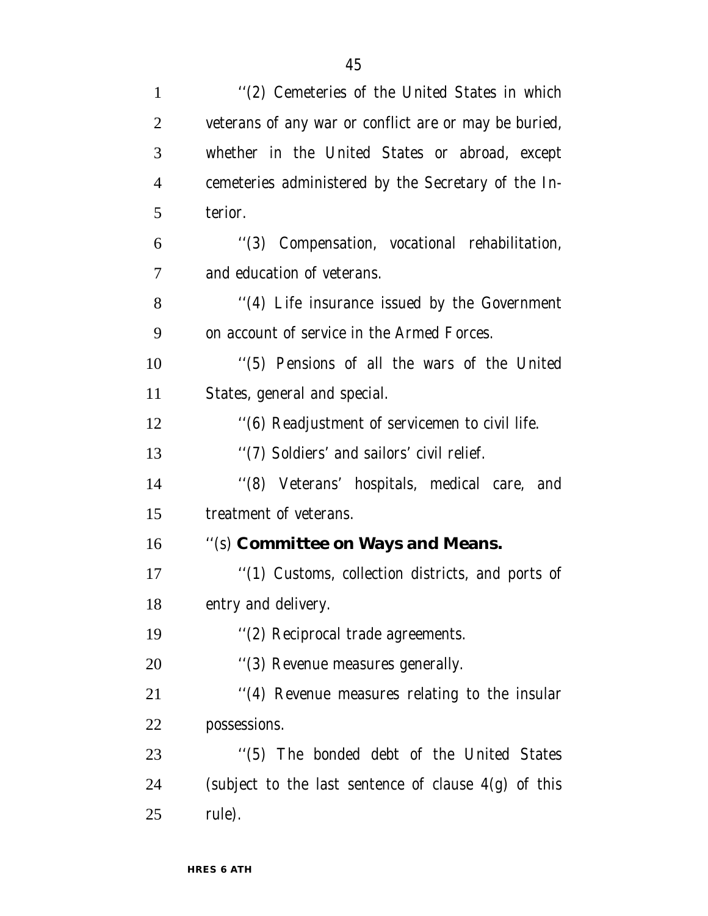| $\mathbf{1}$   | "(2) Cemeteries of the United States in which          |
|----------------|--------------------------------------------------------|
| $\overline{2}$ | veterans of any war or conflict are or may be buried,  |
| 3              | whether in the United States or abroad, except         |
| $\overline{4}$ | cemeteries administered by the Secretary of the In-    |
| 5              | terior.                                                |
| 6              | "(3) Compensation, vocational rehabilitation,          |
| 7              | and education of veterans.                             |
| 8              | "(4) Life insurance issued by the Government           |
| 9              | on account of service in the Armed Forces.             |
| 10             | "(5) Pensions of all the wars of the United            |
| 11             | States, general and special.                           |
| 12             | "(6) Readjustment of servicemen to civil life.         |
| 13             | "(7) Soldiers' and sailors' civil relief.              |
| 14             | "(8) Veterans' hospitals, medical care, and            |
| 15             | treatment of veterans.                                 |
| 16             | "(s) Committee on Ways and Means.                      |
| 17             | "(1) Customs, collection districts, and ports of       |
| 18             | entry and delivery.                                    |
| 19             | "(2) Reciprocal trade agreements.                      |
| 20             | "(3) Revenue measures generally.                       |
| 21             | "(4) Revenue measures relating to the insular          |
| 22             | possessions.                                           |
| 23             | "(5) The bonded debt of the United States              |
| 24             | (subject to the last sentence of clause $4(g)$ of this |
| 25             | rule).                                                 |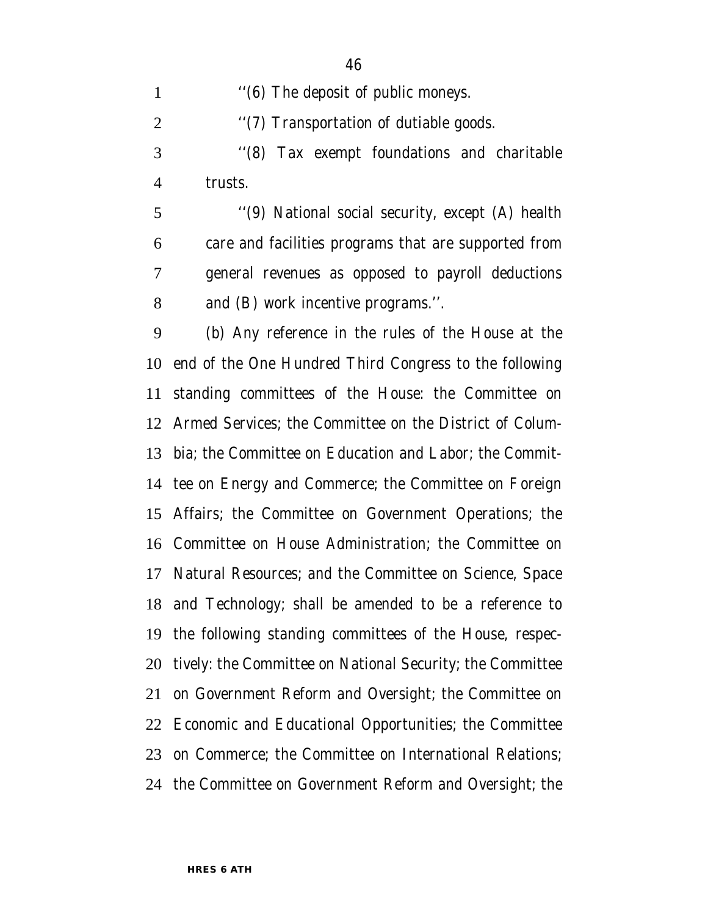''(6) The deposit of public moneys.

2 "(7) Transportation of dutiable goods.

 ''(8) Tax exempt foundations and charitable trusts.

 ''(9) National social security, except (A) health care and facilities programs that are supported from general revenues as opposed to payroll deductions and (B) work incentive programs.''.

 (b) Any reference in the rules of the House at the end of the One Hundred Third Congress to the following standing committees of the House: the Committee on Armed Services; the Committee on the District of Colum- bia; the Committee on Education and Labor; the Commit- tee on Energy and Commerce; the Committee on Foreign Affairs; the Committee on Government Operations; the Committee on House Administration; the Committee on Natural Resources; and the Committee on Science, Space and Technology; shall be amended to be a reference to the following standing committees of the House, respec- tively: the Committee on National Security; the Committee on Government Reform and Oversight; the Committee on Economic and Educational Opportunities; the Committee on Commerce; the Committee on International Relations; the Committee on Government Reform and Oversight; the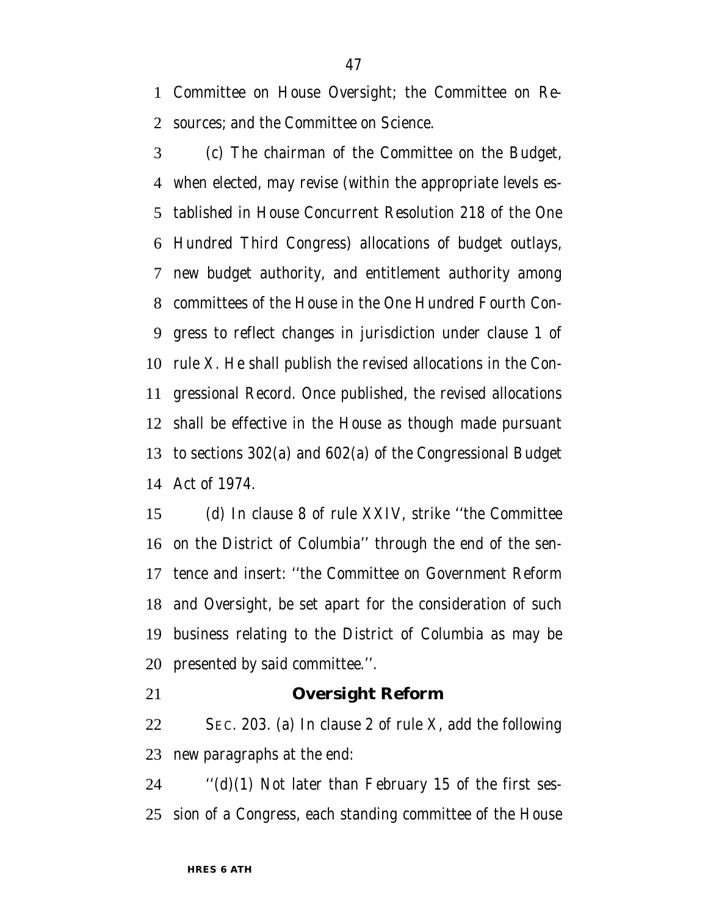Committee on House Oversight; the Committee on Re-sources; and the Committee on Science.

 (c) The chairman of the Committee on the Budget, when elected, may revise (within the appropriate levels es- tablished in House Concurrent Resolution 218 of the One Hundred Third Congress) allocations of budget outlays, new budget authority, and entitlement authority among committees of the House in the One Hundred Fourth Con- gress to reflect changes in jurisdiction under clause 1 of rule X. He shall publish the revised allocations in the Con- gressional Record. Once published, the revised allocations shall be effective in the House as though made pursuant to sections 302(a) and 602(a) of the Congressional Budget Act of 1974.

 (d) In clause 8 of rule XXIV, strike ''the Committee on the District of Columbia'' through the end of the sen- tence and insert: ''the Committee on Government Reform and Oversight, be set apart for the consideration of such business relating to the District of Columbia as may be presented by said committee.''.

#### **Oversight Reform**

 SEC. 203. (a) In clause 2 of rule X, add the following new paragraphs at the end:

24  $\qquad$  "(d)(1) Not later than February 15 of the first ses-sion of a Congress, each standing committee of the House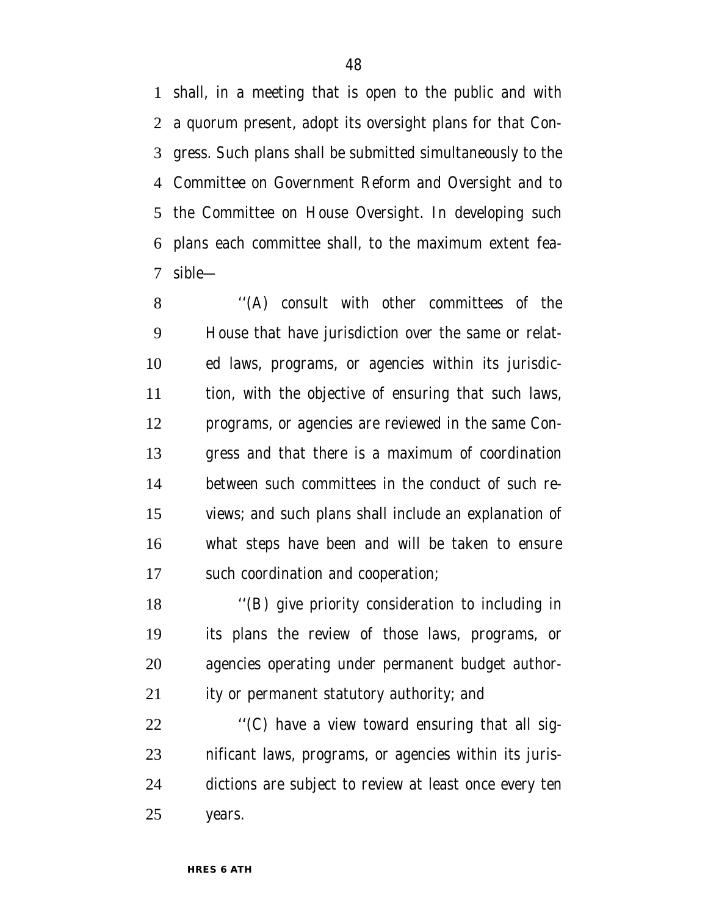shall, in a meeting that is open to the public and with a quorum present, adopt its oversight plans for that Con- gress. Such plans shall be submitted simultaneously to the Committee on Government Reform and Oversight and to the Committee on House Oversight. In developing such plans each committee shall, to the maximum extent fea-sible—

 ''(A) consult with other committees of the House that have jurisdiction over the same or relat- ed laws, programs, or agencies within its jurisdic- tion, with the objective of ensuring that such laws, programs, or agencies are reviewed in the same Con- gress and that there is a maximum of coordination between such committees in the conduct of such re- views; and such plans shall include an explanation of what steps have been and will be taken to ensure such coordination and cooperation;

 ''(B) give priority consideration to including in its plans the review of those laws, programs, or agencies operating under permanent budget author-ity or permanent statutory authority; and

 $\langle C \rangle$  have a view toward ensuring that all sig- nificant laws, programs, or agencies within its juris- dictions are subject to review at least once every ten years.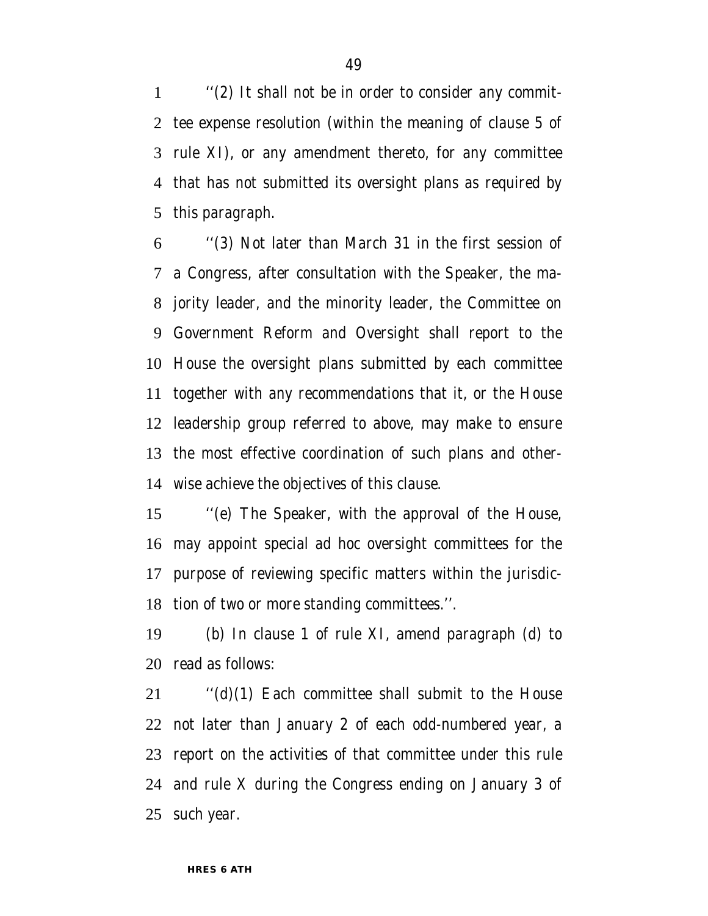''(2) It shall not be in order to consider any commit- tee expense resolution (within the meaning of clause 5 of rule XI), or any amendment thereto, for any committee that has not submitted its oversight plans as required by this paragraph.

 ''(3) Not later than March 31 in the first session of a Congress, after consultation with the Speaker, the ma- jority leader, and the minority leader, the Committee on Government Reform and Oversight shall report to the House the oversight plans submitted by each committee together with any recommendations that it, or the House leadership group referred to above, may make to ensure the most effective coordination of such plans and other-wise achieve the objectives of this clause.

 ''(e) The Speaker, with the approval of the House, may appoint special ad hoc oversight committees for the purpose of reviewing specific matters within the jurisdic-tion of two or more standing committees.''.

 (b) In clause 1 of rule XI, amend paragraph (d) to read as follows:

 ''(d)(1) Each committee shall submit to the House not later than January 2 of each odd-numbered year, a report on the activities of that committee under this rule and rule X during the Congress ending on January 3 of such year.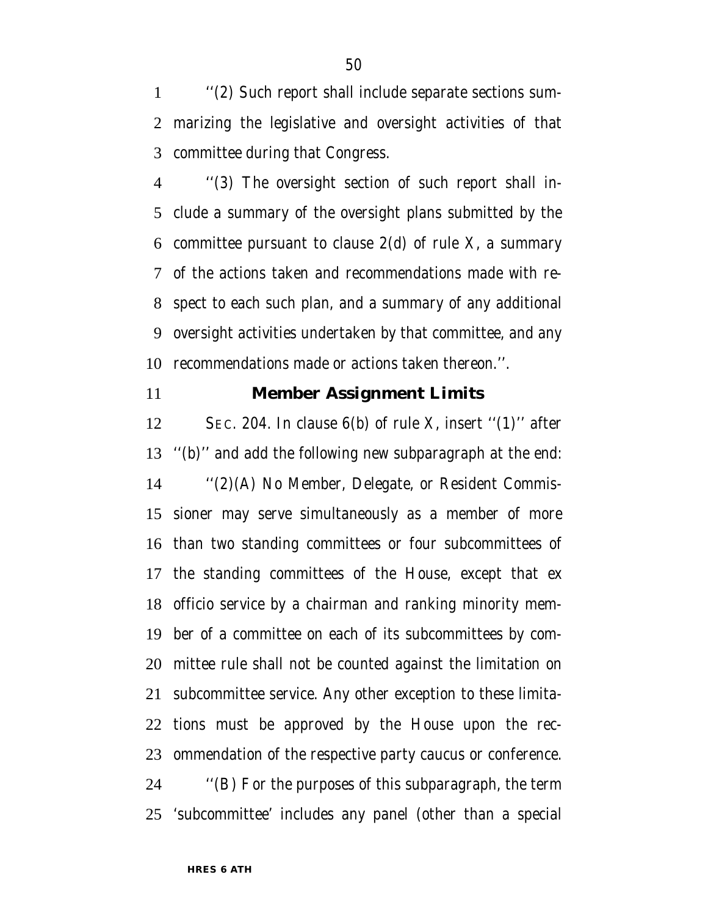''(2) Such report shall include separate sections sum- marizing the legislative and oversight activities of that committee during that Congress.

 ''(3) The oversight section of such report shall in- clude a summary of the oversight plans submitted by the committee pursuant to clause 2(d) of rule X, a summary of the actions taken and recommendations made with re- spect to each such plan, and a summary of any additional oversight activities undertaken by that committee, and any recommendations made or actions taken thereon.''.

#### **Member Assignment Limits**

 SEC. 204. In clause 6(b) of rule X, insert ''(1)'' after ''(b)'' and add the following new subparagraph at the end: ''(2)(A) No Member, Delegate, or Resident Commis- sioner may serve simultaneously as a member of more than two standing committees or four subcommittees of the standing committees of the House, except that ex officio service by a chairman and ranking minority mem- ber of a committee on each of its subcommittees by com- mittee rule shall not be counted against the limitation on subcommittee service. Any other exception to these limita- tions must be approved by the House upon the rec- ommendation of the respective party caucus or conference. ''(B) For the purposes of this subparagraph, the term

'subcommittee' includes any panel (other than a special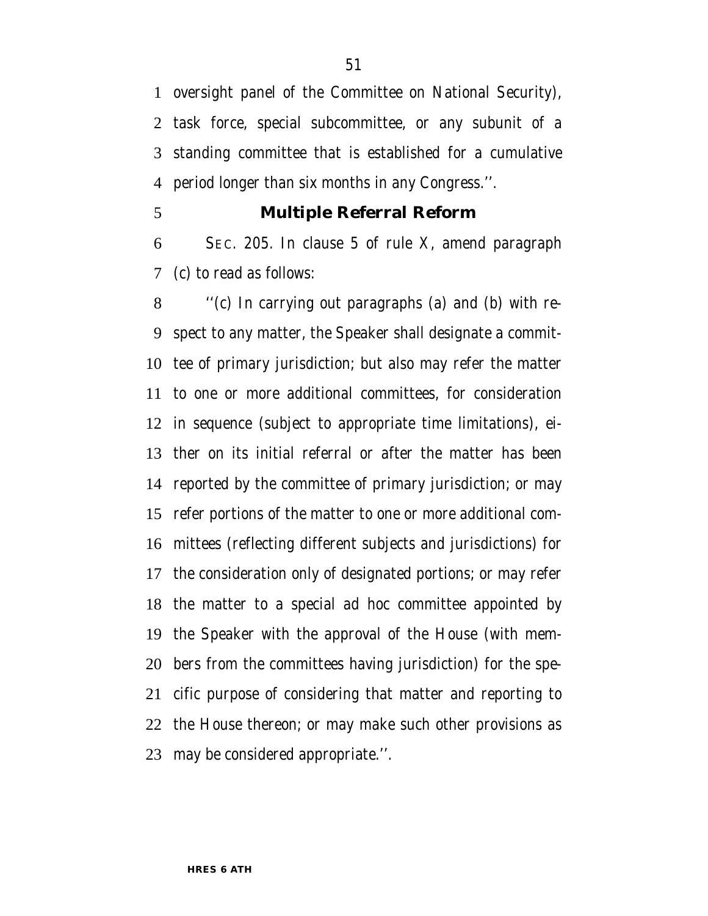oversight panel of the Committee on National Security), task force, special subcommittee, or any subunit of a standing committee that is established for a cumulative period longer than six months in any Congress.''.

#### **Multiple Referral Reform**

 SEC. 205. In clause 5 of rule X, amend paragraph (c) to read as follows:

 ''(c) In carrying out paragraphs (a) and (b) with re- spect to any matter, the Speaker shall designate a commit- tee of primary jurisdiction; but also may refer the matter to one or more additional committees, for consideration in sequence (subject to appropriate time limitations), ei- ther on its initial referral or after the matter has been reported by the committee of primary jurisdiction; or may refer portions of the matter to one or more additional com- mittees (reflecting different subjects and jurisdictions) for the consideration only of designated portions; or may refer the matter to a special ad hoc committee appointed by the Speaker with the approval of the House (with mem- bers from the committees having jurisdiction) for the spe- cific purpose of considering that matter and reporting to the House thereon; or may make such other provisions as may be considered appropriate.''.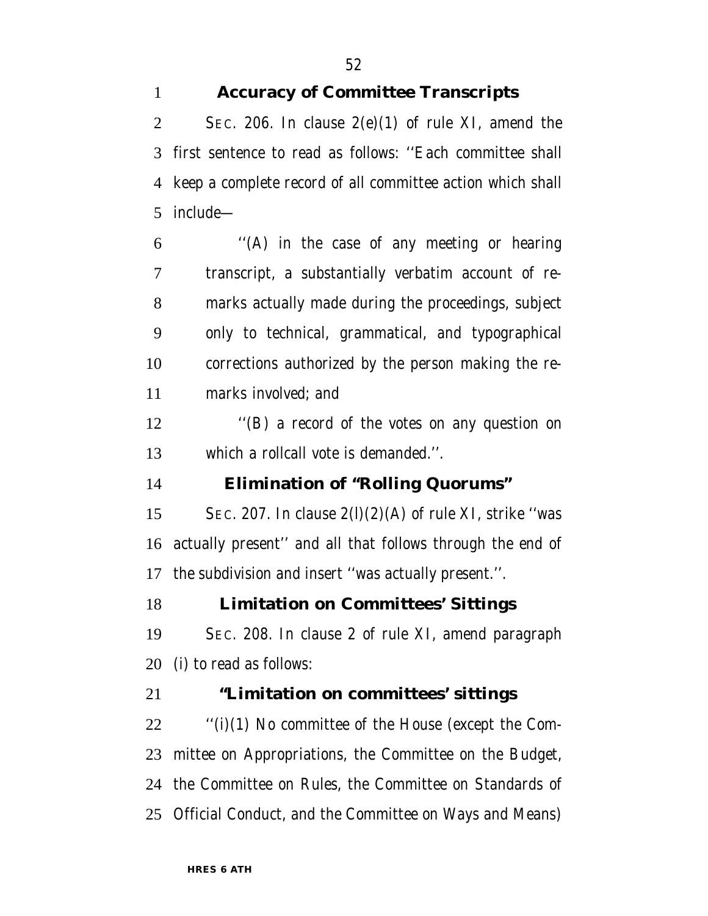# **Accuracy of Committee Transcripts**

2 SEC. 206. In clause  $2(e)(1)$  of rule XI, amend the first sentence to read as follows: ''Each committee shall keep a complete record of all committee action which shall include—

 ''(A) in the case of any meeting or hearing transcript, a substantially verbatim account of re- marks actually made during the proceedings, subject only to technical, grammatical, and typographical corrections authorized by the person making the re-marks involved; and

 ''(B) a record of the votes on any question on which a rollcall vote is demanded.''.

### **Elimination of ''Rolling Quorums''**

15 SEC. 207. In clause  $2(1)(2)(A)$  of rule XI, strike "was actually present'' and all that follows through the end of the subdivision and insert ''was actually present.''.

**Limitation on Committees' Sittings**

 SEC. 208. In clause 2 of rule XI, amend paragraph (i) to read as follows:

### **''Limitation on committees' sittings**

 ''(i)(1) No committee of the House (except the Com- mittee on Appropriations, the Committee on the Budget, the Committee on Rules, the Committee on Standards of Official Conduct, and the Committee on Ways and Means)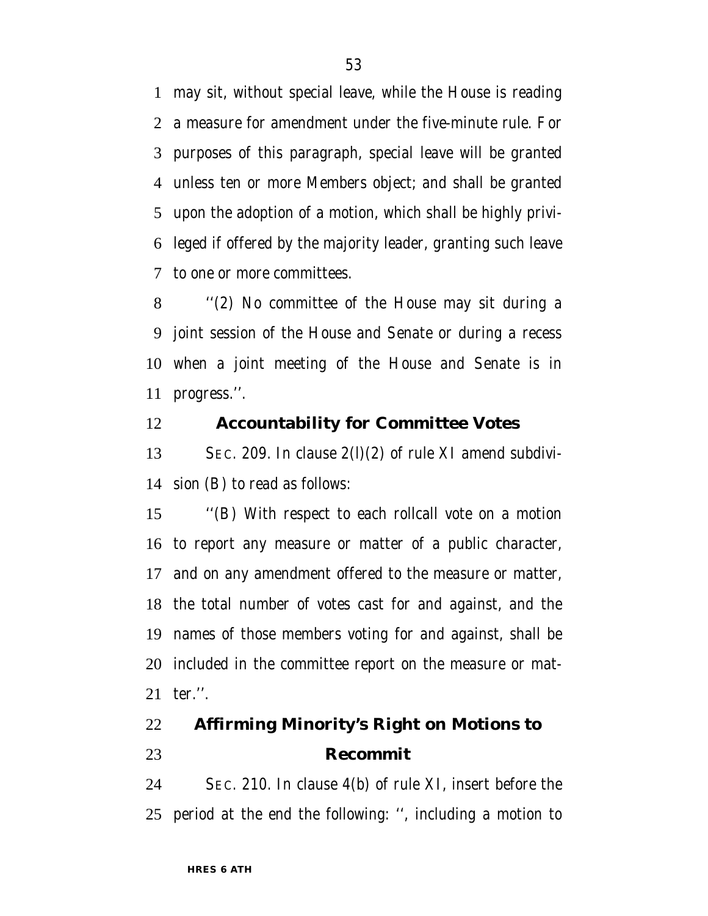may sit, without special leave, while the House is reading a measure for amendment under the five-minute rule. For purposes of this paragraph, special leave will be granted unless ten or more Members object; and shall be granted upon the adoption of a motion, which shall be highly privi- leged if offered by the majority leader, granting such leave to one or more committees.

 ''(2) No committee of the House may sit during a joint session of the House and Senate or during a recess when a joint meeting of the House and Senate is in progress.''.

### **Accountability for Committee Votes**

 SEC. 209. In clause 2(l)(2) of rule XI amend subdivi-sion (B) to read as follows:

 ''(B) With respect to each rollcall vote on a motion to report any measure or matter of a public character, and on any amendment offered to the measure or matter, the total number of votes cast for and against, and the names of those members voting for and against, shall be included in the committee report on the measure or mat-ter.''.

# **Affirming Minority's Right on Motions to Recommit**

 SEC. 210. In clause 4(b) of rule XI, insert before the period at the end the following: '', including a motion to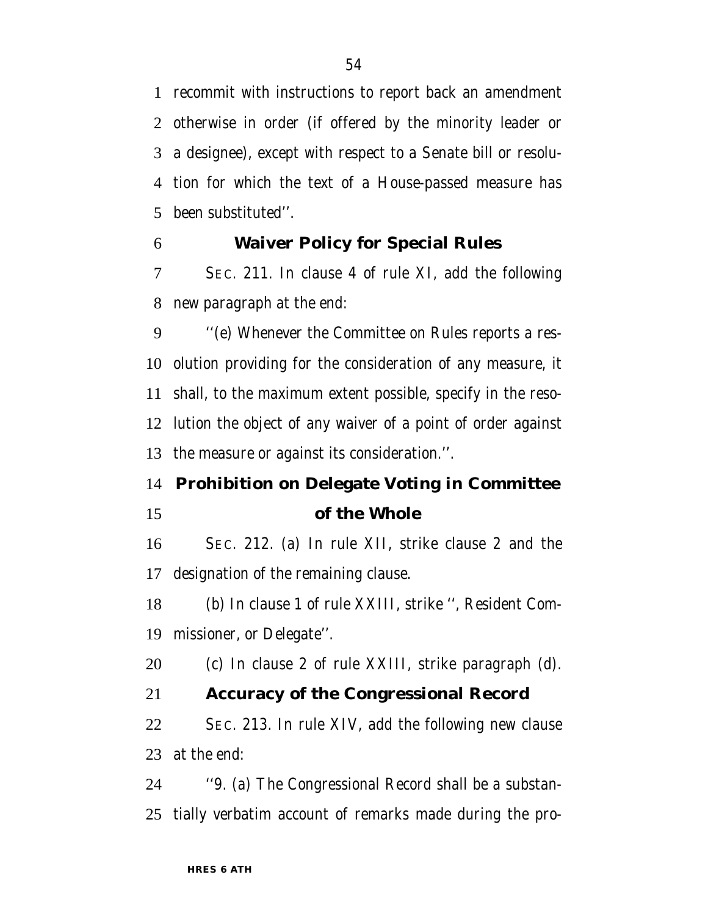recommit with instructions to report back an amendment otherwise in order (if offered by the minority leader or a designee), except with respect to a Senate bill or resolu- tion for which the text of a House-passed measure has been substituted''.

### **Waiver Policy for Special Rules**

 SEC. 211. In clause 4 of rule XI, add the following new paragraph at the end:

 ''(e) Whenever the Committee on Rules reports a res- olution providing for the consideration of any measure, it shall, to the maximum extent possible, specify in the reso- lution the object of any waiver of a point of order against the measure or against its consideration.''.

# **Prohibition on Delegate Voting in Committee of the Whole**

 SEC. 212. (a) In rule XII, strike clause 2 and the designation of the remaining clause.

 (b) In clause 1 of rule XXIII, strike '', Resident Com-missioner, or Delegate''.

(c) In clause 2 of rule XXIII, strike paragraph (d).

## **Accuracy of the Congressional Record**

 SEC. 213. In rule XIV, add the following new clause at the end:

 ''9. (a) The Congressional Record shall be a substan-tially verbatim account of remarks made during the pro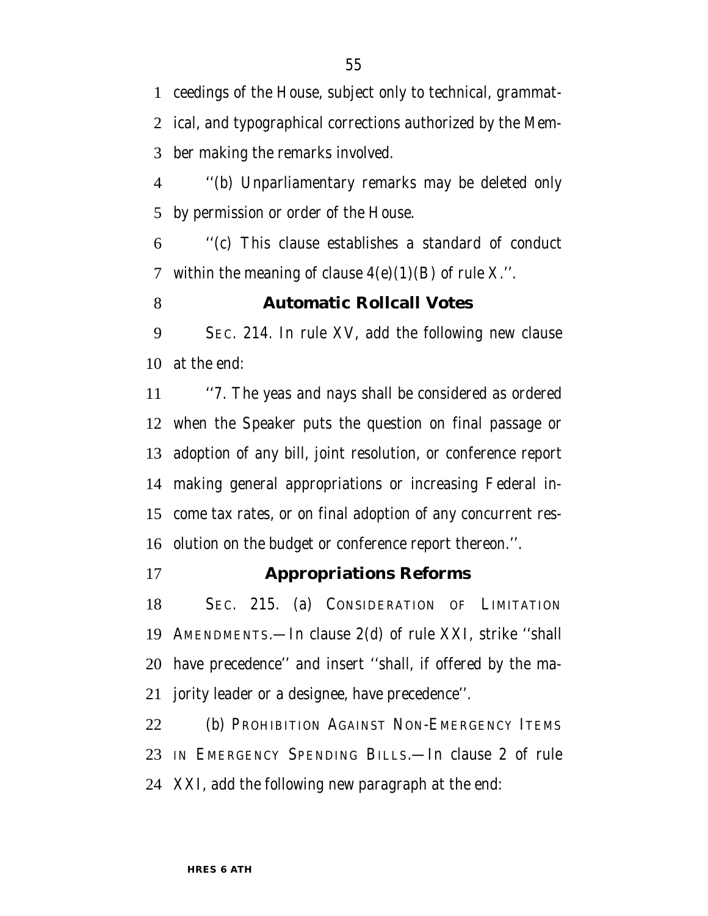ceedings of the House, subject only to technical, grammat- ical, and typographical corrections authorized by the Mem-ber making the remarks involved.

 ''(b) Unparliamentary remarks may be deleted only by permission or order of the House.

 ''(c) This clause establishes a standard of conduct 7 within the meaning of clause  $4(e)(1)(B)$  of rule X.".

#### **Automatic Rollcall Votes**

 SEC. 214. In rule XV, add the following new clause at the end:

 ''7. The yeas and nays shall be considered as ordered when the Speaker puts the question on final passage or adoption of any bill, joint resolution, or conference report making general appropriations or increasing Federal in- come tax rates, or on final adoption of any concurrent res-olution on the budget or conference report thereon.''.

#### **Appropriations Reforms**

 SEC. 215. (a) CONSIDERATION OF LIMITATION AMENDMENTS.—In clause 2(d) of rule XXI, strike ''shall have precedence'' and insert ''shall, if offered by the ma-jority leader or a designee, have precedence''.

22 (b) PROHIBITION AGAINST NON-EMERGENCY ITEMS IN EMERGENCY SPENDING BILLS.—In clause 2 of rule XXI, add the following new paragraph at the end: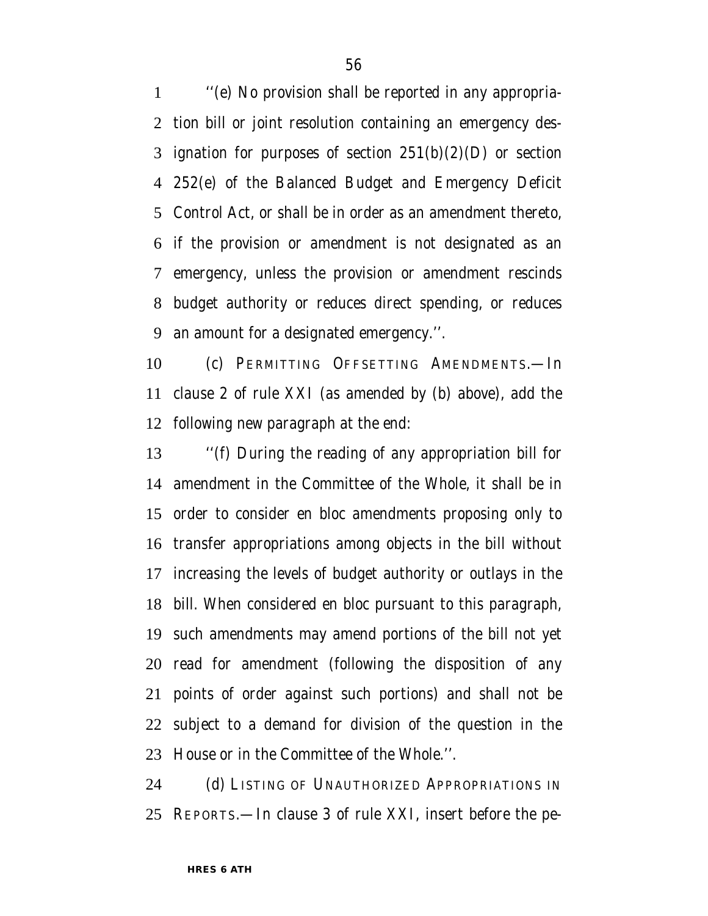''(e) No provision shall be reported in any appropria- tion bill or joint resolution containing an emergency des-3 ignation for purposes of section  $251(b)(2)(D)$  or section 252(e) of the Balanced Budget and Emergency Deficit Control Act, or shall be in order as an amendment thereto, if the provision or amendment is not designated as an emergency, unless the provision or amendment rescinds budget authority or reduces direct spending, or reduces an amount for a designated emergency.''.

 (c) PERMITTING OFFSETTING AMENDMENTS.—In clause 2 of rule XXI (as amended by (b) above), add the following new paragraph at the end:

 ''(f) During the reading of any appropriation bill for amendment in the Committee of the Whole, it shall be in order to consider en bloc amendments proposing only to transfer appropriations among objects in the bill without increasing the levels of budget authority or outlays in the bill. When considered en bloc pursuant to this paragraph, such amendments may amend portions of the bill not yet read for amendment (following the disposition of any points of order against such portions) and shall not be subject to a demand for division of the question in the House or in the Committee of the Whole.''.

 (d) LISTING OF UNAUTHORIZED APPROPRIATIONS IN REPORTS.—In clause 3 of rule XXI, insert before the pe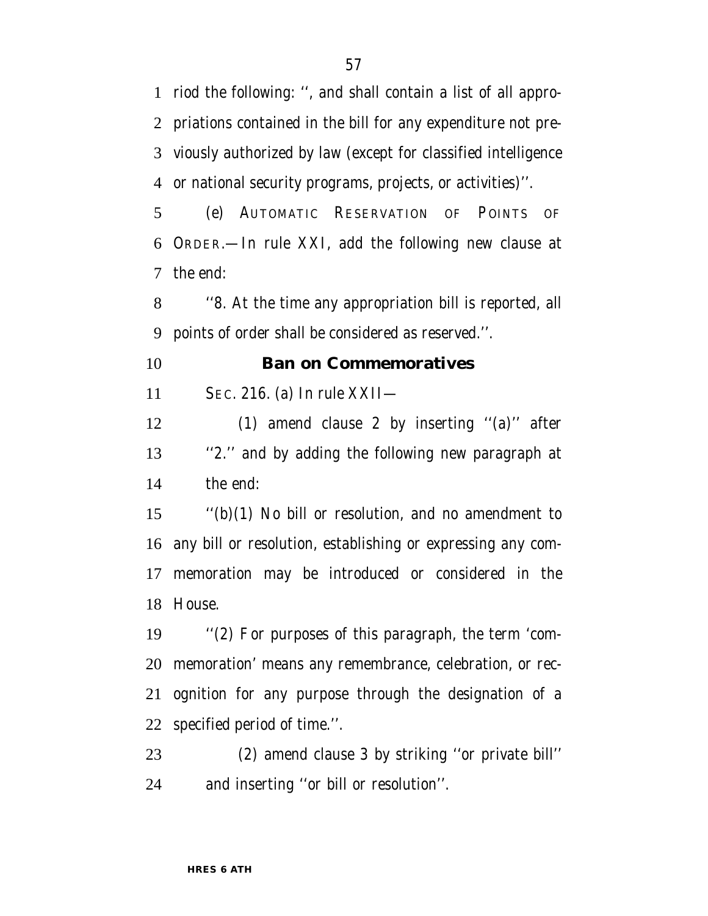riod the following: '', and shall contain a list of all appro- priations contained in the bill for any expenditure not pre- viously authorized by law (except for classified intelligence or national security programs, projects, or activities)''.

 (e) AUTOMATIC RESERVATION OF POINTS OF ORDER.—In rule XXI, add the following new clause at the end:

 ''8. At the time any appropriation bill is reported, all points of order shall be considered as reserved.''.

#### **Ban on Commemoratives**

SEC. 216. (a) In rule XXII—

 (1) amend clause 2 by inserting ''(a)'' after ''2.'' and by adding the following new paragraph at the end:

 ''(b)(1) No bill or resolution, and no amendment to any bill or resolution, establishing or expressing any com- memoration may be introduced or considered in the House.

 ''(2) For purposes of this paragraph, the term 'com- memoration' means any remembrance, celebration, or rec- ognition for any purpose through the designation of a specified period of time.''.

 (2) amend clause 3 by striking ''or private bill'' and inserting ''or bill or resolution''.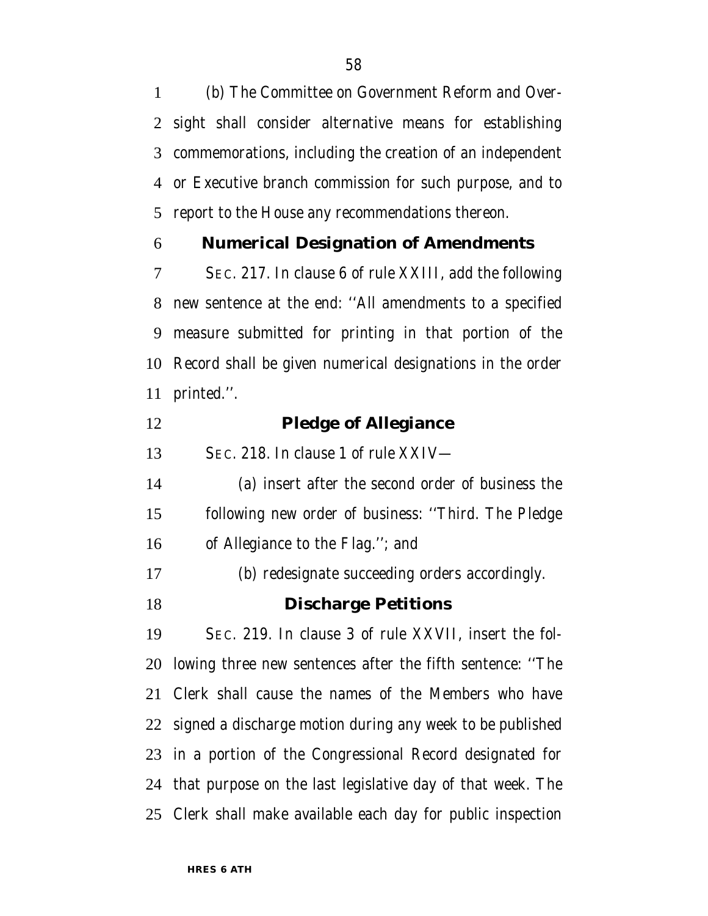(b) The Committee on Government Reform and Over- sight shall consider alternative means for establishing commemorations, including the creation of an independent or Executive branch commission for such purpose, and to report to the House any recommendations thereon.

### **Numerical Designation of Amendments**

 SEC. 217. In clause 6 of rule XXIII, add the following new sentence at the end: ''All amendments to a specified measure submitted for printing in that portion of the Record shall be given numerical designations in the order printed.''.

 **Pledge of Allegiance** SEC. 218. In clause 1 of rule XXIV— (a) insert after the second order of business the following new order of business: ''Third. The Pledge of Allegiance to the Flag.''; and (b) redesignate succeeding orders accordingly. **Discharge Petitions** SEC. 219. In clause 3 of rule XXVII, insert the fol- lowing three new sentences after the fifth sentence: ''The Clerk shall cause the names of the Members who have signed a discharge motion during any week to be published in a portion of the Congressional Record designated for that purpose on the last legislative day of that week. The Clerk shall make available each day for public inspection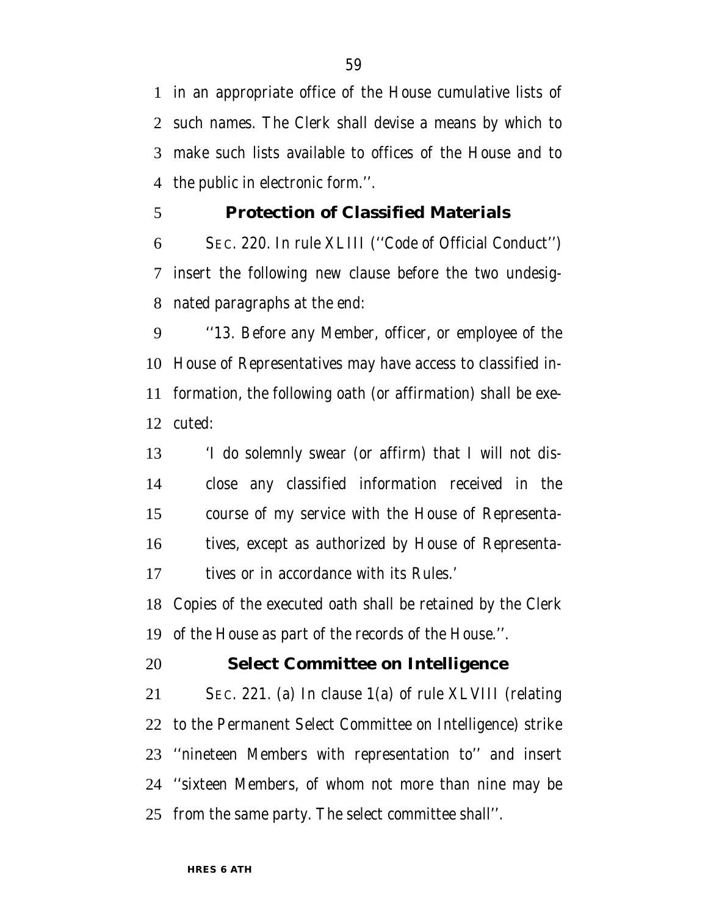in an appropriate office of the House cumulative lists of such names. The Clerk shall devise a means by which to make such lists available to offices of the House and to the public in electronic form.''.

#### **Protection of Classified Materials**

 SEC. 220. In rule XLIII (''Code of Official Conduct'') insert the following new clause before the two undesig-nated paragraphs at the end:

 ''13. Before any Member, officer, or employee of the House of Representatives may have access to classified in- formation, the following oath (or affirmation) shall be exe-cuted:

 'I do solemnly swear (or affirm) that I will not dis- close any classified information received in the course of my service with the House of Representa- tives, except as authorized by House of Representa-tives or in accordance with its Rules.'

 Copies of the executed oath shall be retained by the Clerk of the House as part of the records of the House.''.

#### **Select Committee on Intelligence**

 SEC. 221. (a) In clause 1(a) of rule XLVIII (relating to the Permanent Select Committee on Intelligence) strike ''nineteen Members with representation to'' and insert ''sixteen Members, of whom not more than nine may be from the same party. The select committee shall''.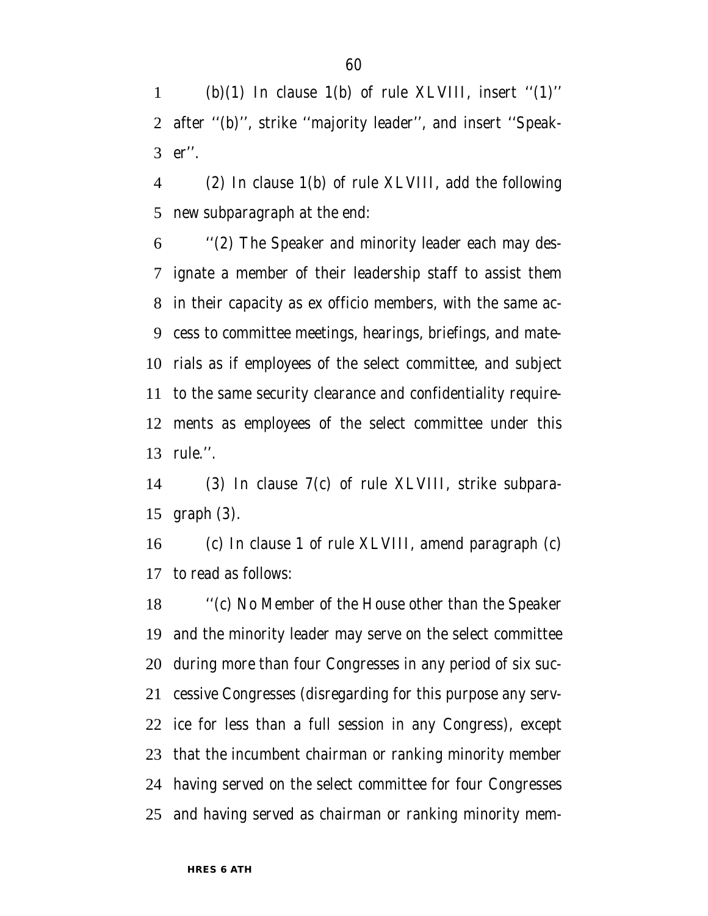1 (b)(1) In clause 1(b) of rule XLVIII, insert " $(1)$ " after ''(b)'', strike ''majority leader'', and insert ''Speak-er''.

 (2) In clause 1(b) of rule XLVIII, add the following new subparagraph at the end:

 ''(2) The Speaker and minority leader each may des- ignate a member of their leadership staff to assist them in their capacity as ex officio members, with the same ac- cess to committee meetings, hearings, briefings, and mate- rials as if employees of the select committee, and subject to the same security clearance and confidentiality require- ments as employees of the select committee under this rule.''.

 (3) In clause 7(c) of rule XLVIII, strike subpara-graph (3).

 (c) In clause 1 of rule XLVIII, amend paragraph (c) to read as follows:

 ''(c) No Member of the House other than the Speaker and the minority leader may serve on the select committee during more than four Congresses in any period of six suc- cessive Congresses (disregarding for this purpose any serv- ice for less than a full session in any Congress), except that the incumbent chairman or ranking minority member having served on the select committee for four Congresses and having served as chairman or ranking minority mem-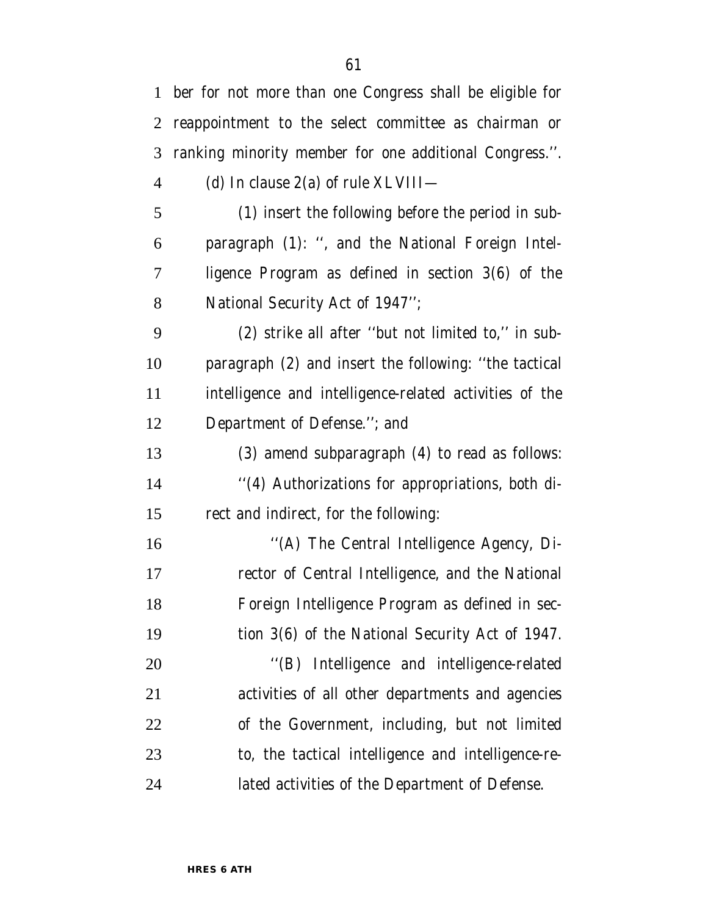|                | 1 ber for not more than one Congress shall be eligible for |
|----------------|------------------------------------------------------------|
| $\overline{2}$ | reappointment to the select committee as chairman or       |
| 3              | ranking minority member for one additional Congress.".     |
| $\overline{4}$ | (d) In clause $2(a)$ of rule XLVIII—                       |
| 5              | (1) insert the following before the period in sub-         |
| 6              | paragraph (1): ", and the National Foreign Intel-          |
| 7              | ligence Program as defined in section 3(6) of the          |
| 8              | National Security Act of 1947";                            |
| 9              | (2) strike all after "but not limited to," in sub-         |
| 10             | paragraph (2) and insert the following: "the tactical      |
| 11             | intelligence and intelligence-related activities of the    |
| 12             | Department of Defense."; and                               |
| 13             | (3) amend subparagraph (4) to read as follows:             |
| 14             | "(4) Authorizations for appropriations, both di-           |
| 15             | rect and indirect, for the following:                      |
| 16             | "(A) The Central Intelligence Agency, Di-                  |
| 17             | rector of Central Intelligence, and the National           |
| 18             | Foreign Intelligence Program as defined in sec-            |
| 19             | tion 3(6) of the National Security Act of 1947.            |
| 20             | "(B) Intelligence and intelligence-related                 |
| 21             | activities of all other departments and agencies           |
| 22             | of the Government, including, but not limited              |
| 23             | to, the tactical intelligence and intelligence-re-         |
| 24             | lated activities of the Department of Defense.             |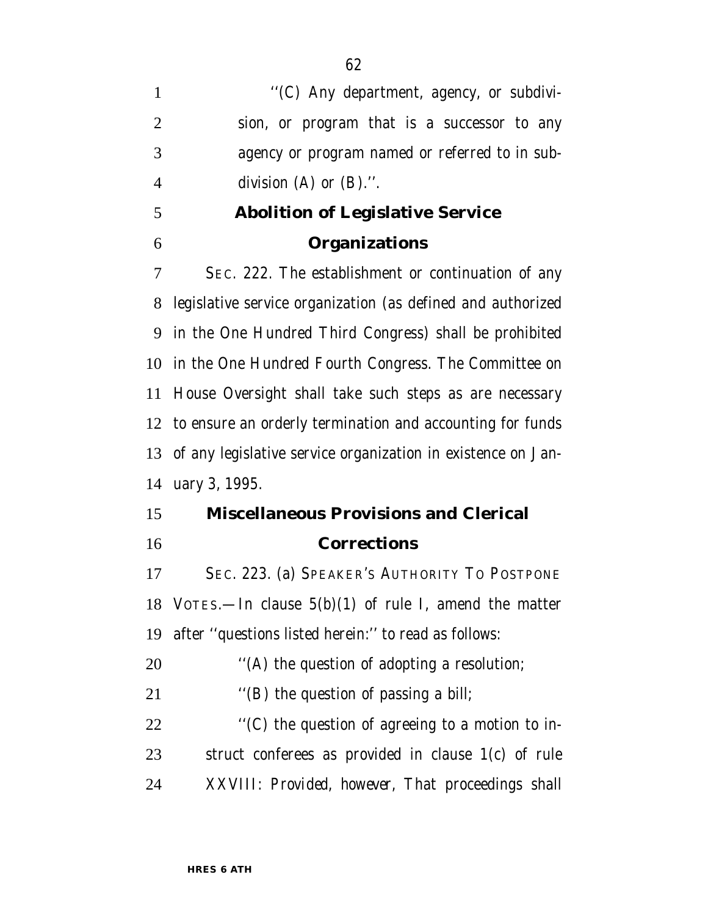$\langle (C)$  Any department, agency, or subdivi- sion, or program that is a successor to any agency or program named or referred to in sub-division (A) or (B).''.

# **Abolition of Legislative Service Organizations**

 SEC. 222. The establishment or continuation of any legislative service organization (as defined and authorized in the One Hundred Third Congress) shall be prohibited in the One Hundred Fourth Congress. The Committee on House Oversight shall take such steps as are necessary to ensure an orderly termination and accounting for funds of any legislative service organization in existence on Jan-uary 3, 1995.

# **Miscellaneous Provisions and Clerical Corrections**

 SEC. 223. (a) SPEAKER'S AUTHORITY TO POSTPONE VOTES.—In clause 5(b)(1) of rule I, amend the matter after ''questions listed herein:'' to read as follows:

20  $\bullet$  ''(A) the question of adopting a resolution;

21 ''(B) the question of passing a bill;

 ''(C) the question of agreeing to a motion to in- struct conferees as provided in clause 1(c) of rule XXVIII: *Provided, however,* That proceedings shall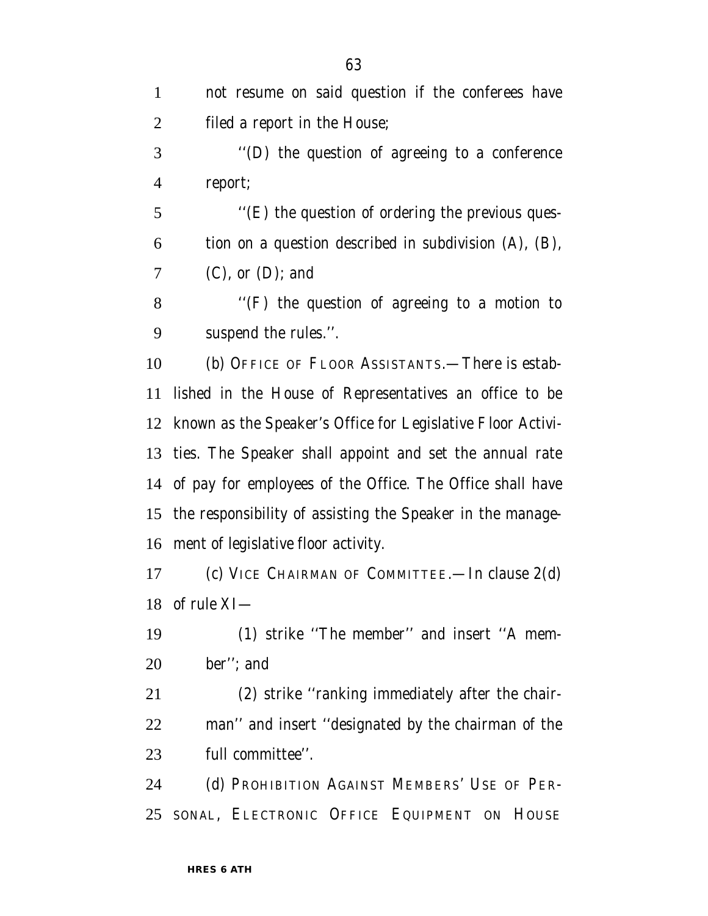| $\mathbf{1}$   | not resume on said question if the conferees have              |
|----------------|----------------------------------------------------------------|
| $\overline{2}$ | filed a report in the House;                                   |
| 3              | "(D) the question of agreeing to a conference                  |
| $\overline{4}$ | report;                                                        |
| 5              | "(E) the question of ordering the previous ques-               |
| 6              | tion on a question described in subdivision (A), (B),          |
| 7              | $(C)$ , or $(D)$ ; and                                         |
| 8              | $\lq$ (F) the question of agreeing to a motion to              |
| 9              | suspend the rules.".                                           |
| 10             | (b) OFFICE OF FLOOR ASSISTANTS.—There is estab-                |
| 11             | lished in the House of Representatives an office to be         |
|                | 12 known as the Speaker's Office for Legislative Floor Activi- |
|                | 13 ties. The Speaker shall appoint and set the annual rate     |
|                | 14 of pay for employees of the Office. The Office shall have   |
| 15             | the responsibility of assisting the Speaker in the manage-     |
|                | 16 ment of legislative floor activity.                         |
| 17             | (c) VICE CHAIRMAN OF COMMITTEE.—In clause $2(d)$               |
|                | 18 of rule XI-                                                 |
| 19             | (1) strike "The member" and insert "A mem-                     |
| 20             | ber"; and                                                      |
| 21             | (2) strike "ranking immediately after the chair-               |
| 22             | man" and insert "designated by the chairman of the             |
| 23             | full committee".                                               |
| 24             | (d) PROHIBITION AGAINST MEMBERS' USE OF PER-                   |
| 25             | SONAL, ELECTRONIC OFFICE EQUIPMENT ON HOUSE                    |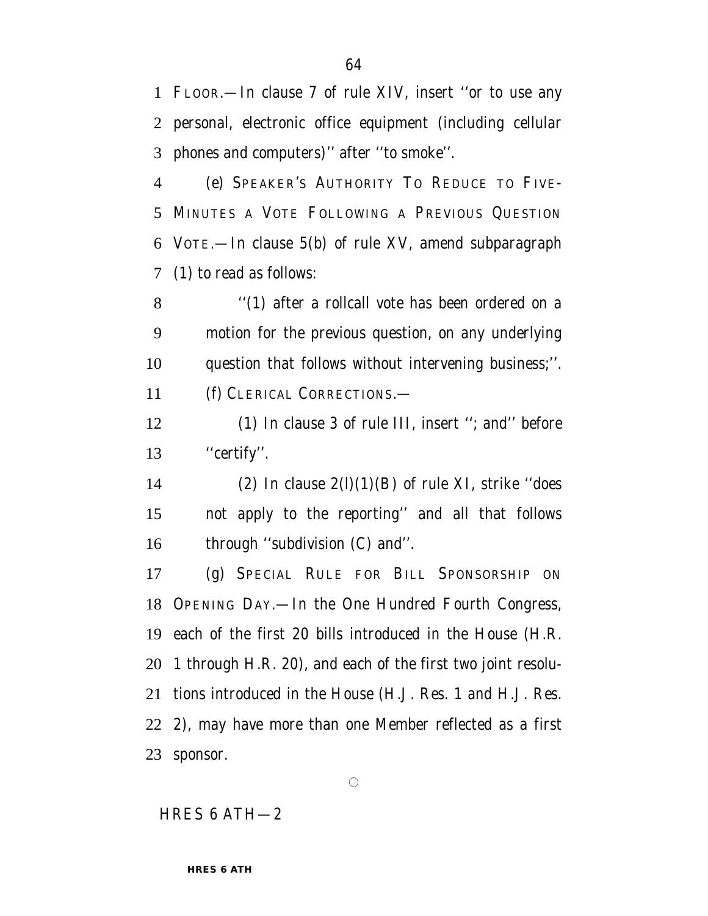FLOOR.—In clause 7 of rule XIV, insert ''or to use any personal, electronic office equipment (including cellular phones and computers)'' after ''to smoke''.

 (e) SPEAKER'S AUTHORITY TO REDUCE TO FIVE- MINUTES A VOTE FOLLOWING A PREVIOUS QUESTION VOTE.—In clause 5(b) of rule XV, amend subparagraph (1) to read as follows:

 ''(1) after a rollcall vote has been ordered on a motion for the previous question, on any underlying question that follows without intervening business;''. (f) CLERICAL CORRECTIONS.—

 (1) In clause 3 of rule III, insert ''; and'' before ''certify''.

14 (2) In clause  $2(l)(1)(B)$  of rule XI, strike "does" not apply to the reporting'' and all that follows 16 through "subdivision (C) and".

 (g) SPECIAL RULE FOR BILL SPONSORSHIP ON OPENING DAY.—In the One Hundred Fourth Congress, each of the first 20 bills introduced in the House (H.R. 1 through H.R. 20), and each of the first two joint resolu- tions introduced in the House (H.J. Res. 1 and H.J. Res. 2), may have more than one Member reflected as a first sponsor.

#### HRES 6 ATH—2